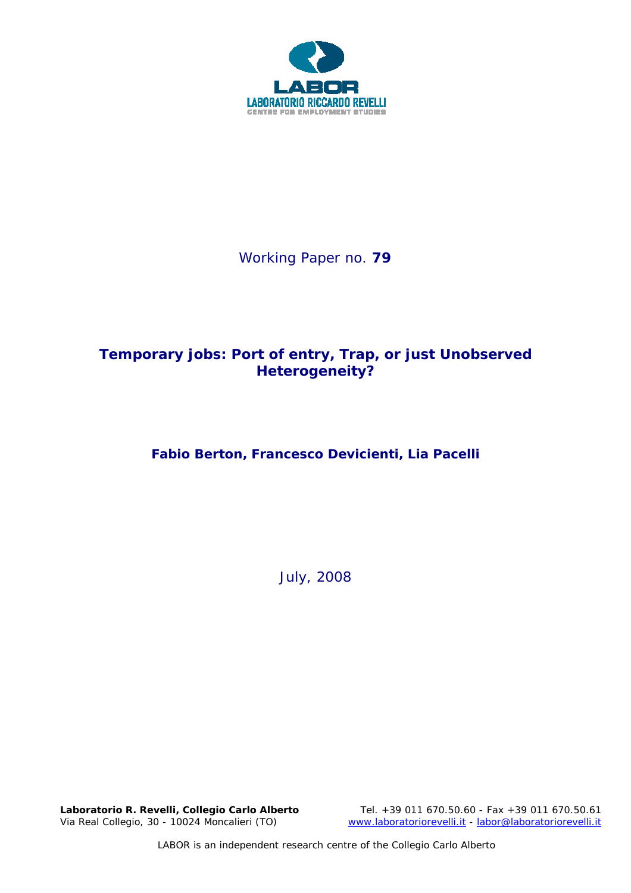

## Working Paper no. **79**

## **Temporary jobs: Port of entry, Trap, or just Unobserved Heterogeneity?**

## **Fabio Berton, Francesco Devicienti, Lia Pacelli**

July, 2008

Via Real Collegio, 30 - 10024 Moncalieri (TO) www.laboratoriorevelli.it - labor@laboratoriorevelli.it

**Laboratorio R. Revelli,** *Collegio Carlo Alberto* Tel. +39 011 670.50.60 - Fax +39 011 670.50.61

LABOR is an independent research centre of the Collegio Carlo Alberto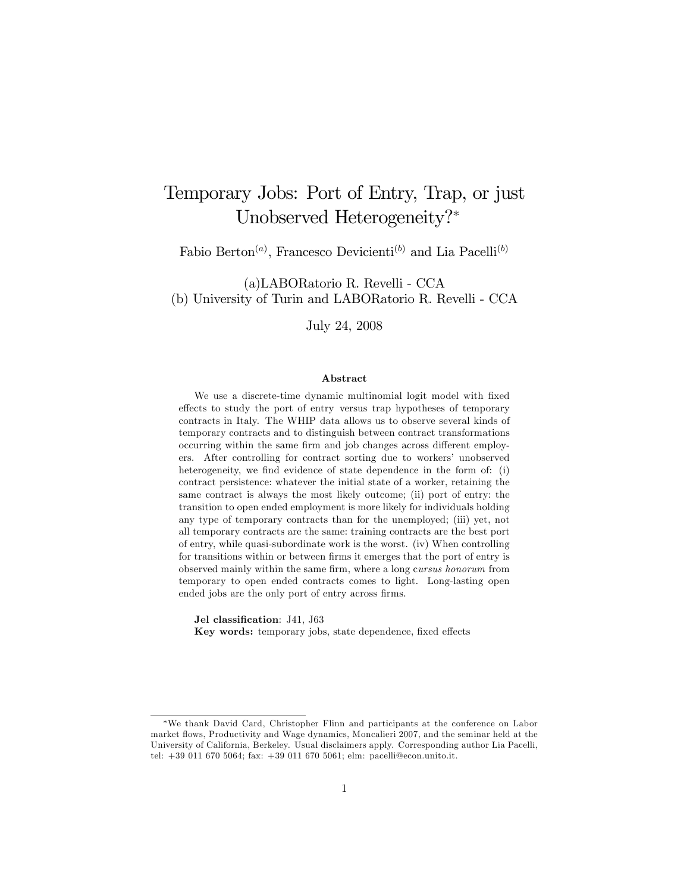# Temporary Jobs: Port of Entry, Trap, or just Unobserved Heterogeneity?

Fabio Berton<sup>(a)</sup>, Francesco Devicienti<sup>(b)</sup> and Lia Pacelli<sup>(b)</sup>

(a)LABORatorio R. Revelli - CCA (b) University of Turin and LABORatorio R. Revelli - CCA

July 24, 2008

#### Abstract

We use a discrete-time dynamic multinomial logit model with fixed effects to study the port of entry versus trap hypotheses of temporary contracts in Italy. The WHIP data allows us to observe several kinds of temporary contracts and to distinguish between contract transformations occurring within the same firm and job changes across different employers. After controlling for contract sorting due to workers' unobserved heterogeneity, we find evidence of state dependence in the form of: (i) contract persistence: whatever the initial state of a worker, retaining the same contract is always the most likely outcome; (ii) port of entry: the transition to open ended employment is more likely for individuals holding any type of temporary contracts than for the unemployed; (iii) yet, not all temporary contracts are the same: training contracts are the best port of entry, while quasi-subordinate work is the worst. (iv) When controlling for transitions within or between firms it emerges that the port of entry is observed mainly within the same firm, where a long cursus honorum from temporary to open ended contracts comes to light. Long-lasting open ended jobs are the only port of entry across firms.

Jel classification: J41, J63 Key words: temporary jobs, state dependence, fixed effects

We thank David Card, Christopher Flinn and participants at the conference on Labor market flows, Productivity and Wage dynamics, Moncalieri 2007, and the seminar held at the University of California, Berkeley. Usual disclaimers apply. Corresponding author Lia Pacelli, tel: +39 011 670 5064; fax: +39 011 670 5061; elm: pacelli@econ.unito.it.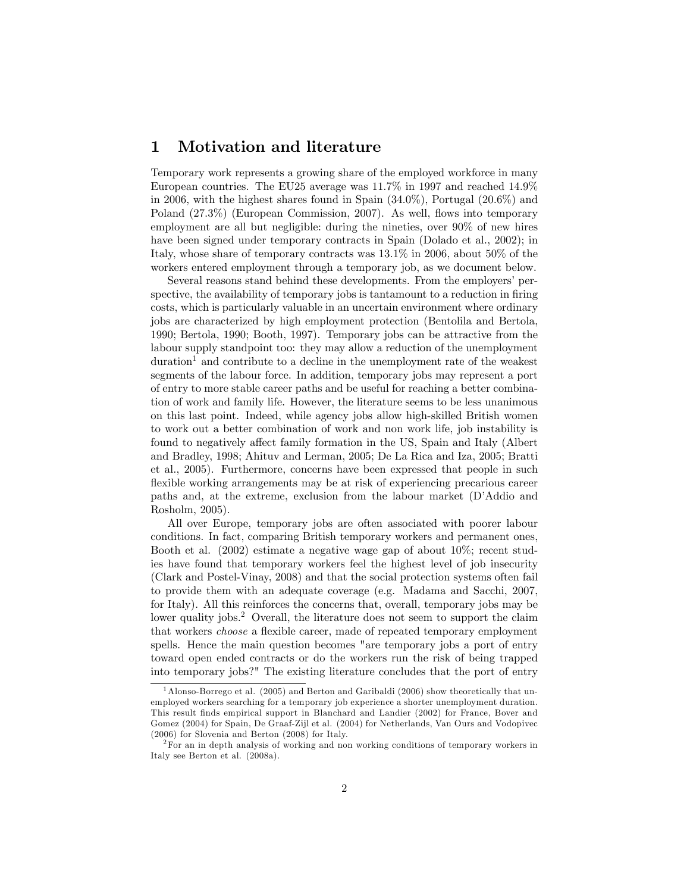#### 1 Motivation and literature

Temporary work represents a growing share of the employed workforce in many European countries. The EU25 average was 11.7% in 1997 and reached 14.9% in 2006, with the highest shares found in Spain (34.0%), Portugal (20.6%) and Poland (27.3%) (European Commission, 2007). As well, flows into temporary employment are all but negligible: during the nineties, over 90% of new hires have been signed under temporary contracts in Spain (Dolado et al., 2002); in Italy, whose share of temporary contracts was 13.1% in 2006, about 50% of the workers entered employment through a temporary job, as we document below.

Several reasons stand behind these developments. From the employers' perspective, the availability of temporary jobs is tantamount to a reduction in firing costs, which is particularly valuable in an uncertain environment where ordinary jobs are characterized by high employment protection (Bentolila and Bertola, 1990; Bertola, 1990; Booth, 1997). Temporary jobs can be attractive from the labour supply standpoint too: they may allow a reduction of the unemployment  $\rm{duration}^1$  and contribute to a decline in the unemployment rate of the weakest segments of the labour force. In addition, temporary jobs may represent a port of entry to more stable career paths and be useful for reaching a better combination of work and family life. However, the literature seems to be less unanimous on this last point. Indeed, while agency jobs allow high-skilled British women to work out a better combination of work and non work life, job instability is found to negatively affect family formation in the US, Spain and Italy (Albert and Bradley, 1998; Ahituv and Lerman, 2005; De La Rica and Iza, 2005; Bratti et al., 2005). Furthermore, concerns have been expressed that people in such flexible working arrangements may be at risk of experiencing precarious career paths and, at the extreme, exclusion from the labour market (DíAddio and Rosholm, 2005).

All over Europe, temporary jobs are often associated with poorer labour conditions. In fact, comparing British temporary workers and permanent ones, Booth et al. (2002) estimate a negative wage gap of about 10%; recent studies have found that temporary workers feel the highest level of job insecurity (Clark and Postel-Vinay, 2008) and that the social protection systems often fail to provide them with an adequate coverage (e.g. Madama and Sacchi, 2007, for Italy). All this reinforces the concerns that, overall, temporary jobs may be lower quality jobs.<sup>2</sup> Overall, the literature does not seem to support the claim that workers *choose* a flexible career, made of repeated temporary employment spells. Hence the main question becomes "are temporary jobs a port of entry toward open ended contracts or do the workers run the risk of being trapped into temporary jobs?" The existing literature concludes that the port of entry

<sup>1</sup>Alonso-Borrego et al. (2005) and Berton and Garibaldi (2006) show theoretically that unemployed workers searching for a temporary job experience a shorter unemployment duration. This result Önds empirical support in Blanchard and Landier (2002) for France, Bover and Gomez (2004) for Spain, De Graaf-Zijl et al. (2004) for Netherlands, Van Ours and Vodopivec (2006) for Slovenia and Berton (2008) for Italy.

 $2<sup>2</sup>$  For an in depth analysis of working and non working conditions of temporary workers in Italy see Berton et al. (2008a).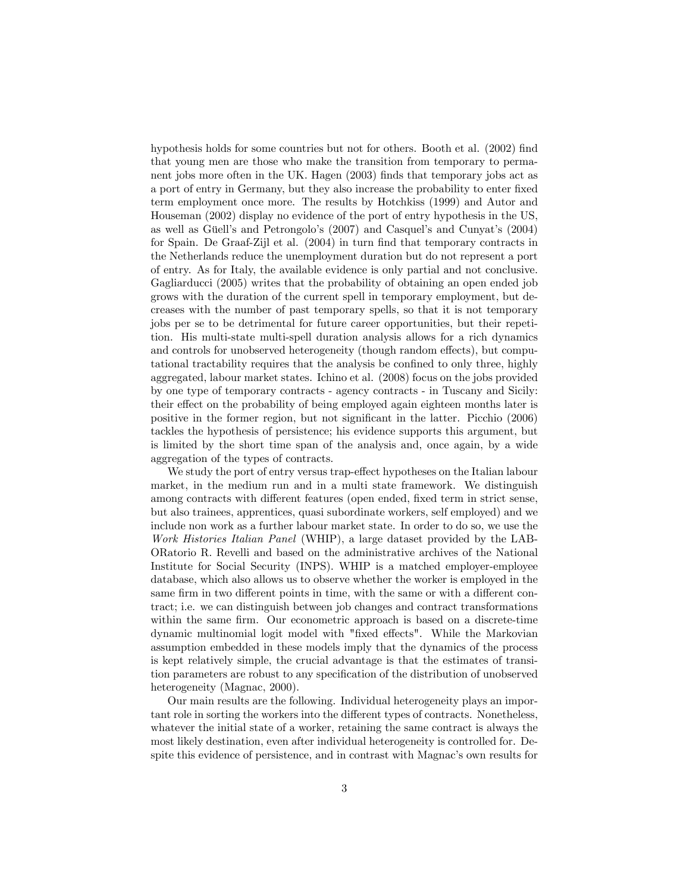hypothesis holds for some countries but not for others. Booth et al. (2002) find that young men are those who make the transition from temporary to permanent jobs more often in the UK. Hagen (2003) finds that temporary jobs act as a port of entry in Germany, but they also increase the probability to enter Öxed term employment once more. The results by Hotchkiss (1999) and Autor and Houseman (2002) display no evidence of the port of entry hypothesis in the US, as well as Güell's and Petrongolo's (2007) and Casquel's and Cunyat's (2004) for Spain. De Graaf-Zijl et al.  $(2004)$  in turn find that temporary contracts in the Netherlands reduce the unemployment duration but do not represent a port of entry. As for Italy, the available evidence is only partial and not conclusive. Gagliarducci (2005) writes that the probability of obtaining an open ended job grows with the duration of the current spell in temporary employment, but decreases with the number of past temporary spells, so that it is not temporary jobs per se to be detrimental for future career opportunities, but their repetition. His multi-state multi-spell duration analysis allows for a rich dynamics and controls for unobserved heterogeneity (though random effects), but computational tractability requires that the analysis be confined to only three, highly aggregated, labour market states. Ichino et al. (2008) focus on the jobs provided by one type of temporary contracts - agency contracts - in Tuscany and Sicily: their effect on the probability of being employed again eighteen months later is positive in the former region, but not significant in the latter. Picchio (2006) tackles the hypothesis of persistence; his evidence supports this argument, but is limited by the short time span of the analysis and, once again, by a wide aggregation of the types of contracts.

We study the port of entry versus trap-effect hypotheses on the Italian labour market, in the medium run and in a multi state framework. We distinguish among contracts with different features (open ended, fixed term in strict sense, but also trainees, apprentices, quasi subordinate workers, self employed) and we include non work as a further labour market state. In order to do so, we use the Work Histories Italian Panel (WHIP), a large dataset provided by the LAB-ORatorio R. Revelli and based on the administrative archives of the National Institute for Social Security (INPS). WHIP is a matched employer-employee database, which also allows us to observe whether the worker is employed in the same firm in two different points in time, with the same or with a different contract; i.e. we can distinguish between job changes and contract transformations within the same firm. Our econometric approach is based on a discrete-time dynamic multinomial logit model with "fixed effects". While the Markovian assumption embedded in these models imply that the dynamics of the process is kept relatively simple, the crucial advantage is that the estimates of transition parameters are robust to any specification of the distribution of unobserved heterogeneity (Magnac, 2000).

Our main results are the following. Individual heterogeneity plays an important role in sorting the workers into the different types of contracts. Nonetheless, whatever the initial state of a worker, retaining the same contract is always the most likely destination, even after individual heterogeneity is controlled for. Despite this evidence of persistence, and in contrast with Magnac's own results for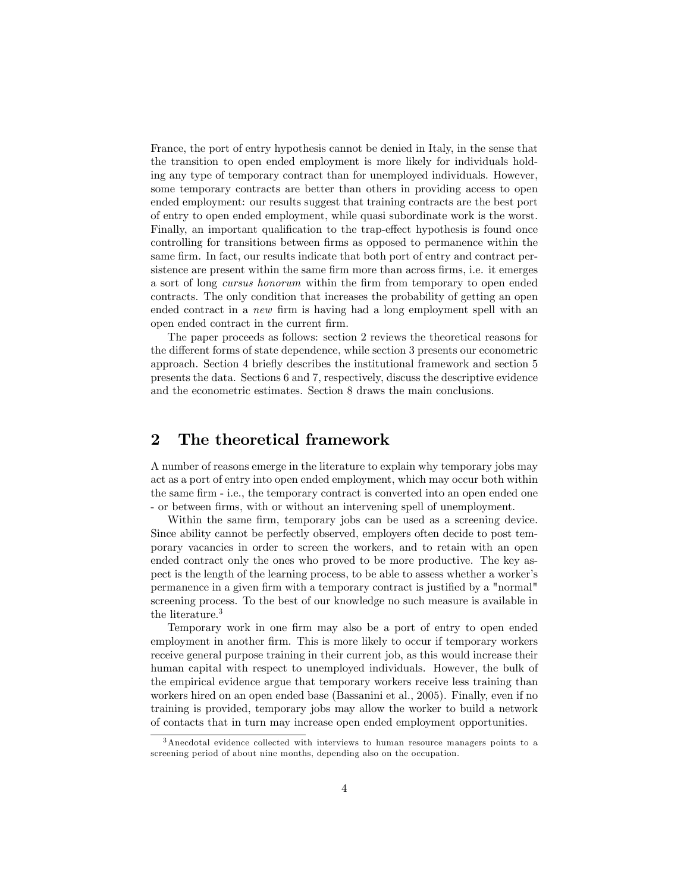France, the port of entry hypothesis cannot be denied in Italy, in the sense that the transition to open ended employment is more likely for individuals holding any type of temporary contract than for unemployed individuals. However, some temporary contracts are better than others in providing access to open ended employment: our results suggest that training contracts are the best port of entry to open ended employment, while quasi subordinate work is the worst. Finally, an important qualification to the trap-effect hypothesis is found once controlling for transitions between firms as opposed to permanence within the same firm. In fact, our results indicate that both port of entry and contract persistence are present within the same firm more than across firms, i.e. it emerges a sort of long *cursus honorum* within the firm from temporary to open ended contracts. The only condition that increases the probability of getting an open ended contract in a *new* firm is having had a long employment spell with an open ended contract in the current Örm.

The paper proceeds as follows: section 2 reviews the theoretical reasons for the different forms of state dependence, while section 3 presents our econometric approach. Section 4 brieáy describes the institutional framework and section 5 presents the data. Sections 6 and 7, respectively, discuss the descriptive evidence and the econometric estimates. Section 8 draws the main conclusions.

#### 2 The theoretical framework

A number of reasons emerge in the literature to explain why temporary jobs may act as a port of entry into open ended employment, which may occur both within the same firm - i.e., the temporary contract is converted into an open ended one - or between Örms, with or without an intervening spell of unemployment.

Within the same firm, temporary jobs can be used as a screening device. Since ability cannot be perfectly observed, employers often decide to post temporary vacancies in order to screen the workers, and to retain with an open ended contract only the ones who proved to be more productive. The key aspect is the length of the learning process, to be able to assess whether a workerís permanence in a given firm with a temporary contract is justified by a "normal" screening process. To the best of our knowledge no such measure is available in the literature.<sup>3</sup>

Temporary work in one firm may also be a port of entry to open ended employment in another firm. This is more likely to occur if temporary workers receive general purpose training in their current job, as this would increase their human capital with respect to unemployed individuals. However, the bulk of the empirical evidence argue that temporary workers receive less training than workers hired on an open ended base (Bassanini et al., 2005). Finally, even if no training is provided, temporary jobs may allow the worker to build a network of contacts that in turn may increase open ended employment opportunities.

<sup>3</sup>Anecdotal evidence collected with interviews to human resource managers points to a screening period of about nine months, depending also on the occupation.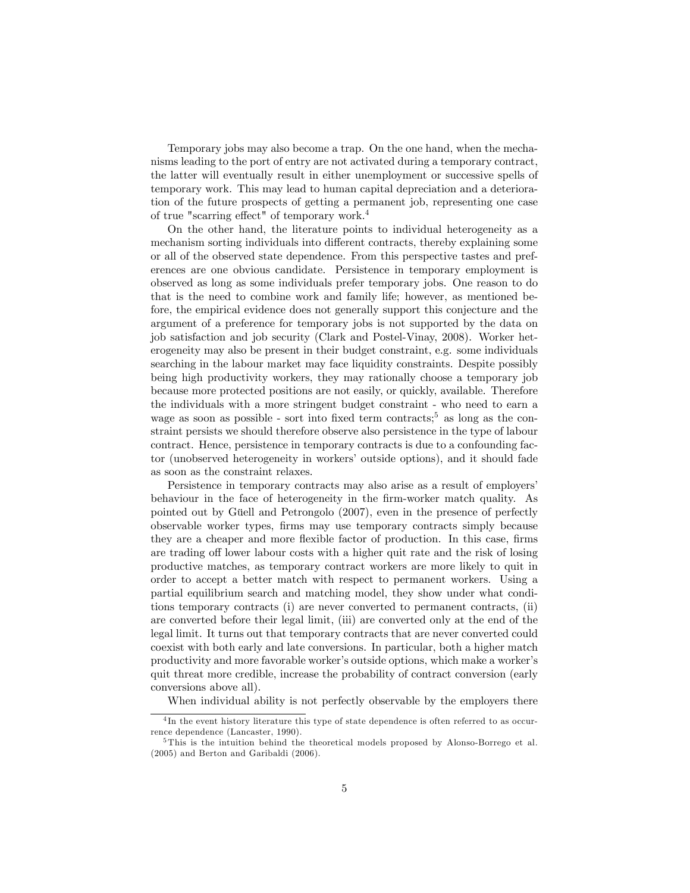Temporary jobs may also become a trap. On the one hand, when the mechanisms leading to the port of entry are not activated during a temporary contract, the latter will eventually result in either unemployment or successive spells of temporary work. This may lead to human capital depreciation and a deterioration of the future prospects of getting a permanent job, representing one case of true "scarring effect" of temporary work. $4$ 

On the other hand, the literature points to individual heterogeneity as a mechanism sorting individuals into different contracts, thereby explaining some or all of the observed state dependence. From this perspective tastes and preferences are one obvious candidate. Persistence in temporary employment is observed as long as some individuals prefer temporary jobs. One reason to do that is the need to combine work and family life; however, as mentioned before, the empirical evidence does not generally support this conjecture and the argument of a preference for temporary jobs is not supported by the data on job satisfaction and job security (Clark and Postel-Vinay, 2008). Worker heterogeneity may also be present in their budget constraint, e.g. some individuals searching in the labour market may face liquidity constraints. Despite possibly being high productivity workers, they may rationally choose a temporary job because more protected positions are not easily, or quickly, available. Therefore the individuals with a more stringent budget constraint - who need to earn a wage as soon as possible - sort into fixed term contracts;<sup>5</sup> as long as the constraint persists we should therefore observe also persistence in the type of labour contract. Hence, persistence in temporary contracts is due to a confounding factor (unobserved heterogeneity in workers' outside options), and it should fade as soon as the constraint relaxes.

Persistence in temporary contracts may also arise as a result of employers' behaviour in the face of heterogeneity in the Örm-worker match quality. As pointed out by Güell and Petrongolo  $(2007)$ , even in the presence of perfectly observable worker types, Örms may use temporary contracts simply because they are a cheaper and more flexible factor of production. In this case, firms are trading off lower labour costs with a higher quit rate and the risk of losing productive matches, as temporary contract workers are more likely to quit in order to accept a better match with respect to permanent workers. Using a partial equilibrium search and matching model, they show under what conditions temporary contracts (i) are never converted to permanent contracts, (ii) are converted before their legal limit, (iii) are converted only at the end of the legal limit. It turns out that temporary contracts that are never converted could coexist with both early and late conversions. In particular, both a higher match productivity and more favorable workerís outside options, which make a workerís quit threat more credible, increase the probability of contract conversion (early conversions above all).

When individual ability is not perfectly observable by the employers there

<sup>4</sup> In the event history literature this type of state dependence is often referred to as occurrence dependence (Lancaster, 1990).

<sup>5</sup> This is the intuition behind the theoretical models proposed by Alonso-Borrego et al. (2005) and Berton and Garibaldi (2006).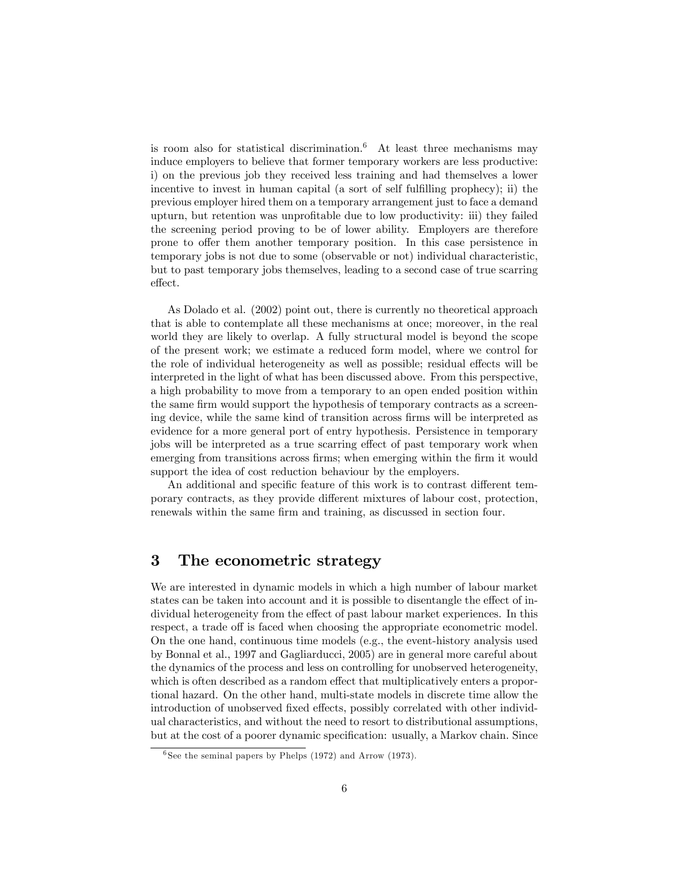is room also for statistical discrimination.<sup>6</sup> At least three mechanisms may induce employers to believe that former temporary workers are less productive: i) on the previous job they received less training and had themselves a lower incentive to invest in human capital (a sort of self fulfilling prophecy); ii) the previous employer hired them on a temporary arrangement just to face a demand upturn, but retention was unprofitable due to low productivity: iii) they failed the screening period proving to be of lower ability. Employers are therefore prone to offer them another temporary position. In this case persistence in temporary jobs is not due to some (observable or not) individual characteristic, but to past temporary jobs themselves, leading to a second case of true scarring effect.

As Dolado et al. (2002) point out, there is currently no theoretical approach that is able to contemplate all these mechanisms at once; moreover, in the real world they are likely to overlap. A fully structural model is beyond the scope of the present work; we estimate a reduced form model, where we control for the role of individual heterogeneity as well as possible; residual effects will be interpreted in the light of what has been discussed above. From this perspective, a high probability to move from a temporary to an open ended position within the same firm would support the hypothesis of temporary contracts as a screening device, while the same kind of transition across firms will be interpreted as evidence for a more general port of entry hypothesis. Persistence in temporary jobs will be interpreted as a true scarring effect of past temporary work when emerging from transitions across firms; when emerging within the firm it would support the idea of cost reduction behaviour by the employers.

An additional and specific feature of this work is to contrast different temporary contracts, as they provide different mixtures of labour cost, protection, renewals within the same firm and training, as discussed in section four.

#### 3 The econometric strategy

We are interested in dynamic models in which a high number of labour market states can be taken into account and it is possible to disentangle the effect of individual heterogeneity from the effect of past labour market experiences. In this respect, a trade off is faced when choosing the appropriate econometric model. On the one hand, continuous time models (e.g., the event-history analysis used by Bonnal et al., 1997 and Gagliarducci, 2005) are in general more careful about the dynamics of the process and less on controlling for unobserved heterogeneity, which is often described as a random effect that multiplicatively enters a proportional hazard. On the other hand, multi-state models in discrete time allow the introduction of unobserved fixed effects, possibly correlated with other individual characteristics, and without the need to resort to distributional assumptions, but at the cost of a poorer dynamic specification: usually, a Markov chain. Since

 $6$  See the seminal papers by Phelps (1972) and Arrow (1973).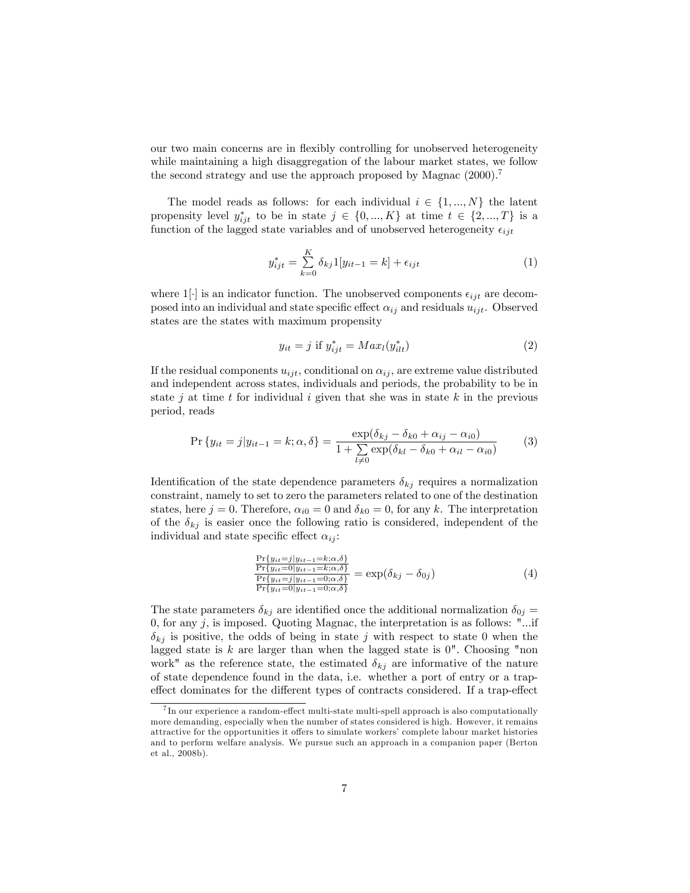our two main concerns are in áexibly controlling for unobserved heterogeneity while maintaining a high disaggregation of the labour market states, we follow the second strategy and use the approach proposed by Magnac  $(2000)^7$ 

The model reads as follows: for each individual  $i \in \{1, ..., N\}$  the latent propensity level  $y_{ijt}^*$  to be in state  $j \in \{0, ..., K\}$  at time  $t \in \{2, ..., T\}$  is a function of the lagged state variables and of unobserved heterogeneity  $\epsilon_{ijt}$ 

$$
y_{ijt}^* = \sum_{k=0}^K \delta_{kj} 1[y_{it-1} = k] + \epsilon_{ijt}
$$
 (1)

where  $1[\cdot]$  is an indicator function. The unobserved components  $\epsilon_{ijt}$  are decomposed into an individual and state specific effect  $\alpha_{ij}$  and residuals  $u_{ijt}$ . Observed states are the states with maximum propensity

$$
y_{it} = j \text{ if } y_{ijt}^* = Max_l(y_{ilt}^*)
$$
\n
$$
(2)
$$

If the residual components  $u_{ijt}$ , conditional on  $\alpha_{ij}$ , are extreme value distributed and independent across states, individuals and periods, the probability to be in state j at time t for individual i given that she was in state  $k$  in the previous period, reads

$$
\Pr\{y_{it} = j|y_{it-1} = k; \alpha, \delta\} = \frac{\exp(\delta_{kj} - \delta_{k0} + \alpha_{ij} - \alpha_{i0})}{1 + \sum_{l \neq 0} \exp(\delta_{kl} - \delta_{k0} + \alpha_{il} - \alpha_{i0})}
$$
(3)

Identification of the state dependence parameters  $\delta_{kj}$  requires a normalization constraint, namely to set to zero the parameters related to one of the destination states, here  $j = 0$ . Therefore,  $\alpha_{i0} = 0$  and  $\delta_{k0} = 0$ , for any k. The interpretation of the  $\delta_{kj}$  is easier once the following ratio is considered, independent of the individual and state specific effect  $\alpha_{ij}$ :

$$
\frac{\Pr\{y_{it}=j|y_{it-1}=k;\alpha,\delta\}}{\Pr\{y_{it}=0|y_{it-1}=k;\alpha,\delta\}} = \exp(\delta_{kj} - \delta_{0j})
$$
\n
$$
\frac{\Pr\{y_{it}=j|y_{it-1}=0;\alpha,\delta\}}{\Pr\{y_{it}=0|y_{it-1}=0;\alpha,\delta\}}
$$
\n(4)

The state parameters  $\delta_{kj}$  are identified once the additional normalization  $\delta_{0j} =$ 0, for any  $j$ , is imposed. Quoting Magnac, the interpretation is as follows: "...if  $\delta_{kj}$  is positive, the odds of being in state j with respect to state 0 when the lagged state is  $k$  are larger than when the lagged state is  $0"$ . Choosing "non work" as the reference state, the estimated  $\delta_{kj}$  are informative of the nature of state dependence found in the data, i.e. whether a port of entry or a trapeffect dominates for the different types of contracts considered. If a trap-effect

 $7\,\mathrm{In}$  our experience a random-effect multi-state multi-spell approach is also computationally more demanding, especially when the number of states considered is high. However, it remains attractive for the opportunities it offers to simulate workers' complete labour market histories and to perform welfare analysis. We pursue such an approach in a companion paper (Berton et al., 2008b).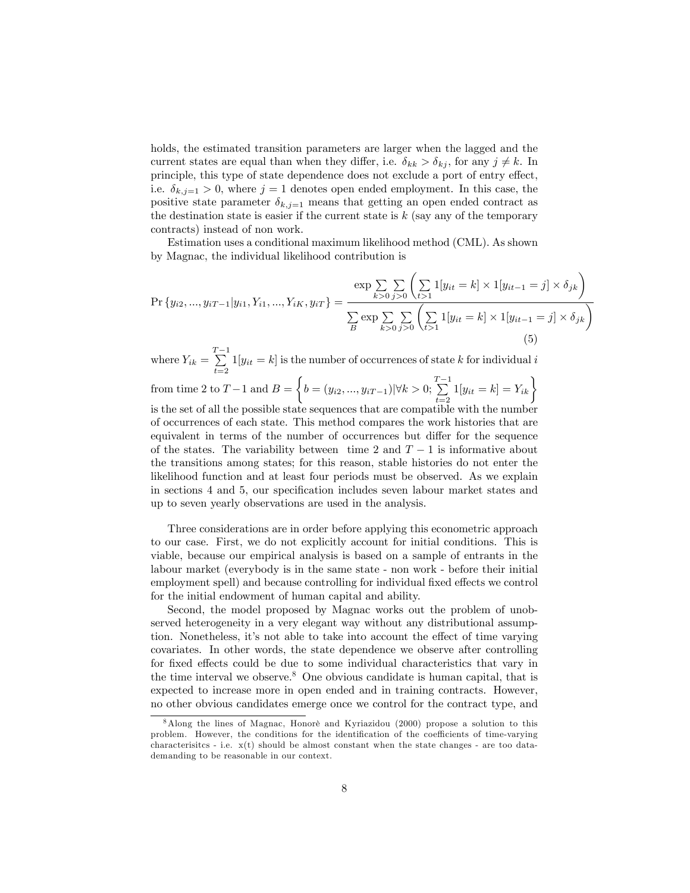holds, the estimated transition parameters are larger when the lagged and the current states are equal than when they differ, i.e.  $\delta_{kk} > \delta_{kj}$ , for any  $j \neq k$ . In principle, this type of state dependence does not exclude a port of entry effect, i.e.  $\delta_{k,j=1} > 0$ , where  $j = 1$  denotes open ended employment. In this case, the positive state parameter  $\delta_{k,j=1}$  means that getting an open ended contract as the destination state is easier if the current state is  $k$  (say any of the temporary contracts) instead of non work.

Estimation uses a conditional maximum likelihood method (CML). As shown by Magnac, the individual likelihood contribution is

$$
\Pr\{y_{i2}, ..., y_{iT-1}|y_{i1}, Y_{i1}, ..., Y_{iK}, y_{iT}\} = \frac{\exp\sum_{k>0}\sum_{j>0}\left(\sum_{t>1}[y_{it} = k] \times 1[y_{it-1} = j] \times \delta_{jk}\right)}{\sum_{B}\exp\sum_{k>0}\sum_{j>0}\left(\sum_{t>1}[y_{it} = k] \times 1[y_{it-1} = j] \times \delta_{jk}\right)}
$$
\n(5)

where  $Y_{ik} = \sum_{i=1}^{T-1}$  $\sum_{t=2} 1[y_{it} = k]$  is the number of occurrences of state k for individual i  $\sqrt{ }$ 

from time 2 to  $T-1$  and  $B=$  $b = (y_{i2}, ..., y_{iT-1}) | \forall k > 0; \sum_{k=0}^{T-1}$  $\sum_{t=2}^{T-1} 1[y_{it} = k] = Y_{ik}$ is the set of all the possible state sequences that are compatible with the number

of occurrences of each state. This method compares the work histories that are equivalent in terms of the number of occurrences but differ for the sequence of the states. The variability between time 2 and  $T-1$  is informative about the transitions among states; for this reason, stable histories do not enter the likelihood function and at least four periods must be observed. As we explain in sections 4 and 5, our specification includes seven labour market states and up to seven yearly observations are used in the analysis.

Three considerations are in order before applying this econometric approach to our case. First, we do not explicitly account for initial conditions. This is viable, because our empirical analysis is based on a sample of entrants in the labour market (everybody is in the same state - non work - before their initial employment spell) and because controlling for individual fixed effects we control for the initial endowment of human capital and ability.

Second, the model proposed by Magnac works out the problem of unobserved heterogeneity in a very elegant way without any distributional assumption. Nonetheless, it's not able to take into account the effect of time varying covariates. In other words, the state dependence we observe after controlling for fixed effects could be due to some individual characteristics that vary in the time interval we observe.<sup>8</sup> One obvious candidate is human capital, that is expected to increase more in open ended and in training contracts. However, no other obvious candidates emerge once we control for the contract type, and

<sup>&</sup>lt;sup>8</sup> Along the lines of Magnac, Honorè and Kyriazidou (2000) propose a solution to this problem. However, the conditions for the identification of the coefficients of time-varying characterisitcs - i.e.  $x(t)$  should be almost constant when the state changes - are too datademanding to be reasonable in our context.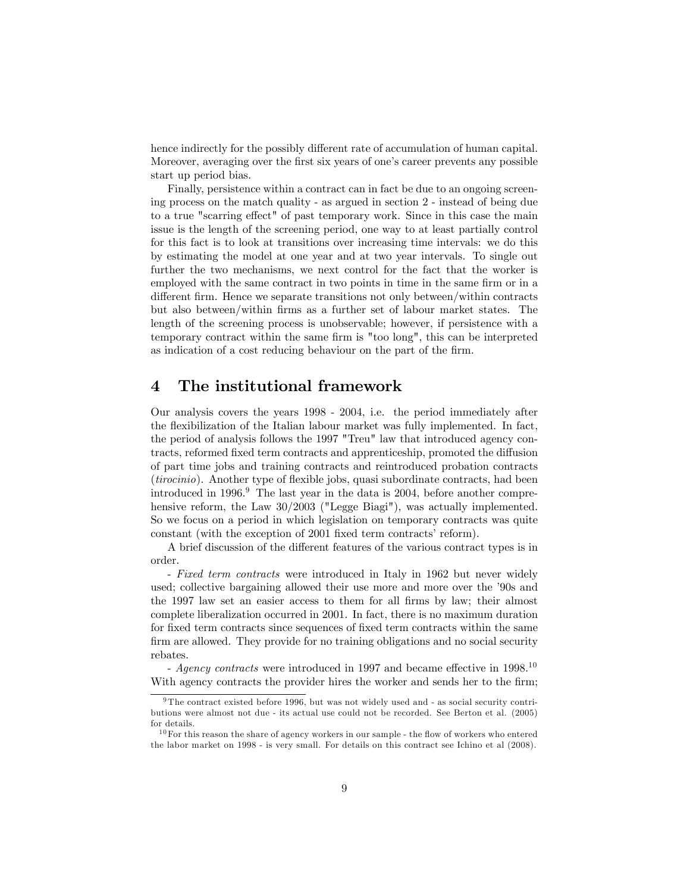hence indirectly for the possibly different rate of accumulation of human capital. Moreover, averaging over the first six years of one's career prevents any possible start up period bias.

Finally, persistence within a contract can in fact be due to an ongoing screening process on the match quality - as argued in section 2 - instead of being due to a true "scarring effect" of past temporary work. Since in this case the main issue is the length of the screening period, one way to at least partially control for this fact is to look at transitions over increasing time intervals: we do this by estimating the model at one year and at two year intervals. To single out further the two mechanisms, we next control for the fact that the worker is employed with the same contract in two points in time in the same firm or in a different firm. Hence we separate transitions not only between/within contracts but also between/within Örms as a further set of labour market states. The length of the screening process is unobservable; however, if persistence with a temporary contract within the same Örm is "too long", this can be interpreted as indication of a cost reducing behaviour on the part of the firm.

#### 4 The institutional framework

Our analysis covers the years 1998 - 2004, i.e. the period immediately after the flexibilization of the Italian labour market was fully implemented. In fact, the period of analysis follows the 1997 "Treu" law that introduced agency contracts, reformed fixed term contracts and apprenticeship, promoted the diffusion of part time jobs and training contracts and reintroduced probation contracts  $(tirocinio)$ . Another type of flexible jobs, quasi subordinate contracts, had been introduced in 1996.<sup>9</sup> The last year in the data is 2004, before another comprehensive reform, the Law 30/2003 ("Legge Biagi"), was actually implemented. So we focus on a period in which legislation on temporary contracts was quite constant (with the exception of 2001 fixed term contracts' reform).

A brief discussion of the different features of the various contract types is in order.

- Fixed term contracts were introduced in Italy in 1962 but never widely used; collective bargaining allowed their use more and more over the '90s and the 1997 law set an easier access to them for all firms by law; their almost complete liberalization occurred in 2001. In fact, there is no maximum duration for fixed term contracts since sequences of fixed term contracts within the same firm are allowed. They provide for no training obligations and no social security rebates.

- Agency contracts were introduced in 1997 and became effective in  $1998$ <sup>10</sup> With agency contracts the provider hires the worker and sends her to the firm;

<sup>9</sup> The contract existed before 1996, but was not widely used and - as social security contributions were almost not due - its actual use could not be recorded. See Berton et al. (2005) for details.

 $10$  For this reason the share of agency workers in our sample - the flow of workers who entered the labor market on 1998 - is very small. For details on this contract see Ichino et al (2008).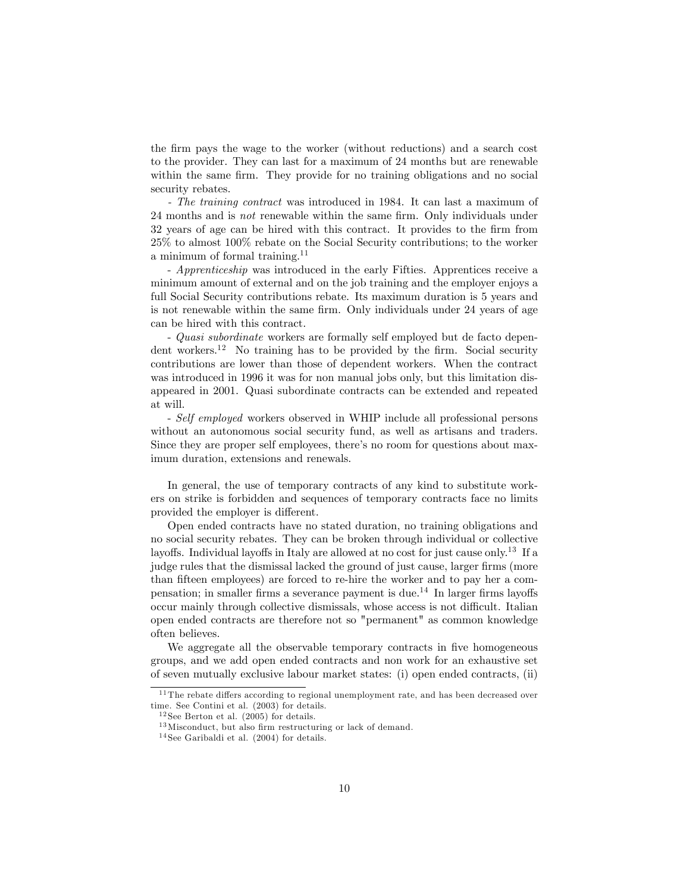the Örm pays the wage to the worker (without reductions) and a search cost to the provider. They can last for a maximum of 24 months but are renewable within the same firm. They provide for no training obligations and no social security rebates.

- The training contract was introduced in 1984. It can last a maximum of 24 months and is *not* renewable within the same firm. Only individuals under 32 years of age can be hired with this contract. It provides to the firm from 25% to almost 100% rebate on the Social Security contributions; to the worker a minimum of formal training.<sup>11</sup>

- Apprenticeship was introduced in the early Fifties. Apprentices receive a minimum amount of external and on the job training and the employer enjoys a full Social Security contributions rebate. Its maximum duration is 5 years and is not renewable within the same firm. Only individuals under 24 years of age can be hired with this contract.

- *Quasi subordinate* workers are formally self employed but de facto dependent workers.<sup>12</sup> No training has to be provided by the firm. Social security contributions are lower than those of dependent workers. When the contract was introduced in 1996 it was for non manual jobs only, but this limitation disappeared in 2001. Quasi subordinate contracts can be extended and repeated at will.

- Self employed workers observed in WHIP include all professional persons without an autonomous social security fund, as well as artisans and traders. Since they are proper self employees, there's no room for questions about maximum duration, extensions and renewals.

In general, the use of temporary contracts of any kind to substitute workers on strike is forbidden and sequences of temporary contracts face no limits provided the employer is different.

Open ended contracts have no stated duration, no training obligations and no social security rebates. They can be broken through individual or collective layoffs. Individual layoffs in Italy are allowed at no cost for just cause only.<sup>13</sup> If a judge rules that the dismissal lacked the ground of just cause, larger firms (more than fifteen employees) are forced to re-hire the worker and to pay her a compensation; in smaller firms a severance payment is due.<sup>14</sup> In larger firms layoffs occur mainly through collective dismissals, whose access is not difficult. Italian open ended contracts are therefore not so "permanent" as common knowledge often believes.

We aggregate all the observable temporary contracts in five homogeneous groups, and we add open ended contracts and non work for an exhaustive set of seven mutually exclusive labour market states: (i) open ended contracts, (ii)

 $11$ The rebate differs according to regional unemployment rate, and has been decreased over time. See Contini et al. (2003) for details.

 $12$  See Berton et al. (2005) for details.

 $13$  Misconduct, but also firm restructuring or lack of demand.

 $14$  See Garibaldi et al. (2004) for details.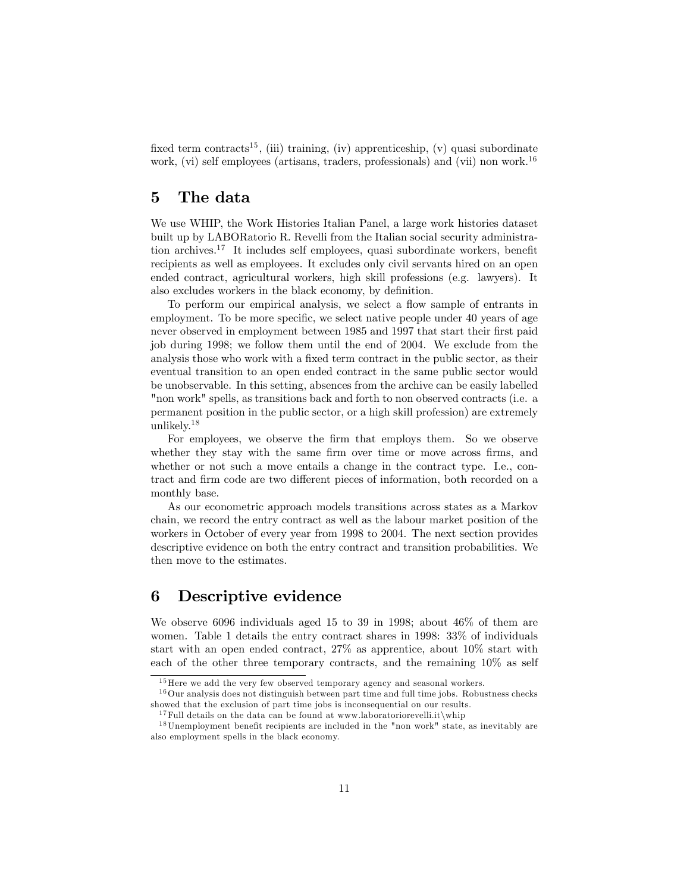fixed term contracts<sup>15</sup>, (iii) training, (iv) apprenticeship, (v) quasi subordinate work, (vi) self employees (artisans, traders, professionals) and (vii) non work.<sup>16</sup>

#### 5 The data

We use WHIP, the Work Histories Italian Panel, a large work histories dataset built up by LABORatorio R. Revelli from the Italian social security administration archives.<sup>17</sup> It includes self employees, quasi subordinate workers, benefit recipients as well as employees. It excludes only civil servants hired on an open ended contract, agricultural workers, high skill professions (e.g. lawyers). It also excludes workers in the black economy, by definition.

To perform our empirical analysis, we select a flow sample of entrants in employment. To be more specific, we select native people under 40 years of age never observed in employment between 1985 and 1997 that start their Örst paid job during 1998; we follow them until the end of 2004. We exclude from the analysis those who work with a fixed term contract in the public sector, as their eventual transition to an open ended contract in the same public sector would be unobservable. In this setting, absences from the archive can be easily labelled "non work" spells, as transitions back and forth to non observed contracts (i.e. a permanent position in the public sector, or a high skill profession) are extremely unlikely.<sup>18</sup>

For employees, we observe the firm that employs them. So we observe whether they stay with the same firm over time or move across firms, and whether or not such a move entails a change in the contract type. I.e., contract and firm code are two different pieces of information, both recorded on a monthly base.

As our econometric approach models transitions across states as a Markov chain, we record the entry contract as well as the labour market position of the workers in October of every year from 1998 to 2004. The next section provides descriptive evidence on both the entry contract and transition probabilities. We then move to the estimates.

### 6 Descriptive evidence

We observe 6096 individuals aged 15 to 39 in 1998; about 46% of them are women. Table 1 details the entry contract shares in 1998: 33% of individuals start with an open ended contract, 27% as apprentice, about 10% start with each of the other three temporary contracts, and the remaining 10% as self

 $15$  Here we add the very few observed temporary agency and seasonal workers.

 $16$ Our analysis does not distinguish between part time and full time jobs. Robustness checks showed that the exclusion of part time jobs is inconsequential on our results.

<sup>&</sup>lt;sup>17</sup>Full details on the data can be found at www.laboratoriorevelli.it $\wedge$ whip

 $18$ Unemployment benefit recipients are included in the "non work" state, as inevitably are also employment spells in the black economy.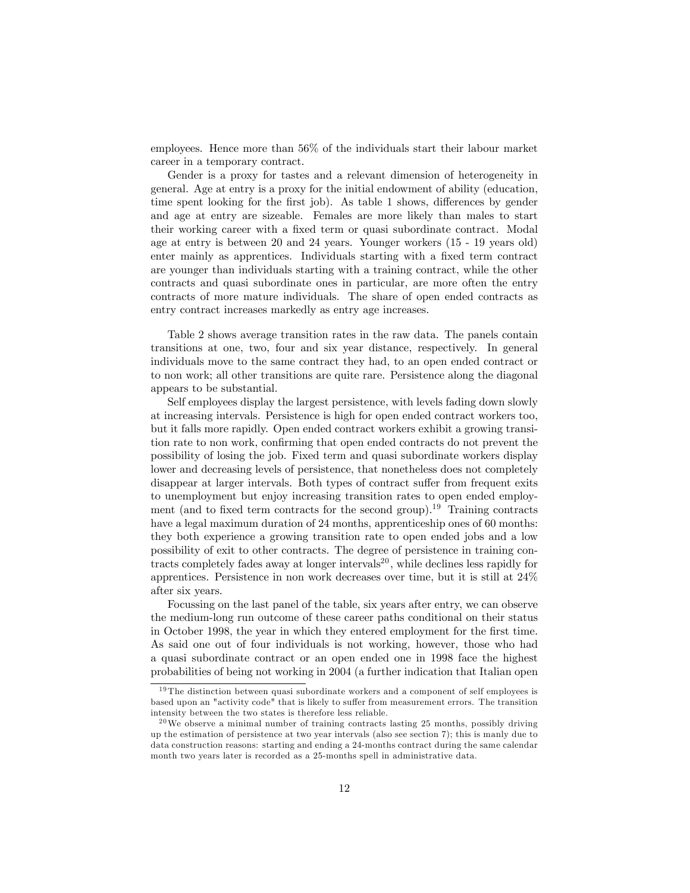employees. Hence more than 56% of the individuals start their labour market career in a temporary contract.

Gender is a proxy for tastes and a relevant dimension of heterogeneity in general. Age at entry is a proxy for the initial endowment of ability (education, time spent looking for the first job). As table 1 shows, differences by gender and age at entry are sizeable. Females are more likely than males to start their working career with a fixed term or quasi subordinate contract. Modal age at entry is between 20 and 24 years. Younger workers (15 - 19 years old) enter mainly as apprentices. Individuals starting with a fixed term contract are younger than individuals starting with a training contract, while the other contracts and quasi subordinate ones in particular, are more often the entry contracts of more mature individuals. The share of open ended contracts as entry contract increases markedly as entry age increases.

Table 2 shows average transition rates in the raw data. The panels contain transitions at one, two, four and six year distance, respectively. In general individuals move to the same contract they had, to an open ended contract or to non work; all other transitions are quite rare. Persistence along the diagonal appears to be substantial.

Self employees display the largest persistence, with levels fading down slowly at increasing intervals. Persistence is high for open ended contract workers too, but it falls more rapidly. Open ended contract workers exhibit a growing transition rate to non work, confirming that open ended contracts do not prevent the possibility of losing the job. Fixed term and quasi subordinate workers display lower and decreasing levels of persistence, that nonetheless does not completely disappear at larger intervals. Both types of contract suffer from frequent exits to unemployment but enjoy increasing transition rates to open ended employment (and to fixed term contracts for the second group).<sup>19</sup> Training contracts have a legal maximum duration of 24 months, apprenticeship ones of 60 months: they both experience a growing transition rate to open ended jobs and a low possibility of exit to other contracts. The degree of persistence in training contracts completely fades away at longer intervals<sup>20</sup>, while declines less rapidly for apprentices. Persistence in non work decreases over time, but it is still at 24% after six years.

Focussing on the last panel of the table, six years after entry, we can observe the medium-long run outcome of these career paths conditional on their status in October 1998, the year in which they entered employment for the first time. As said one out of four individuals is not working, however, those who had a quasi subordinate contract or an open ended one in 1998 face the highest probabilities of being not working in 2004 (a further indication that Italian open

 $19$  The distinction between quasi subordinate workers and a component of self employees is based upon an "activity code" that is likely to suffer from measurement errors. The transition intensity between the two states is therefore less reliable.

 $^{20}$ We observe a minimal number of training contracts lasting 25 months, possibly driving up the estimation of persistence at two year intervals (also see section 7); this is manly due to data construction reasons: starting and ending a 24-months contract during the same calendar month two years later is recorded as a 25-months spell in administrative data.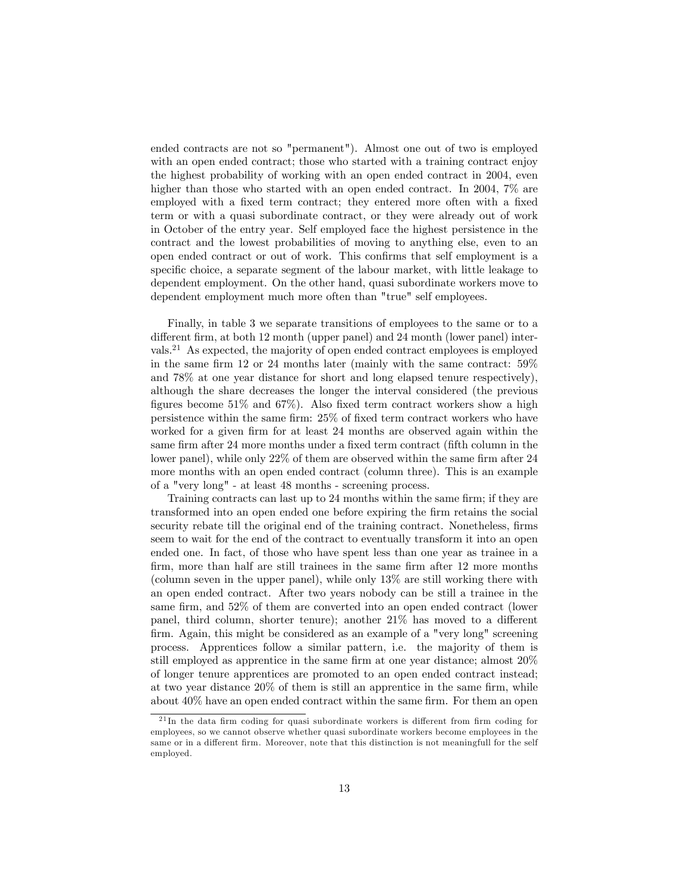ended contracts are not so "permanent"). Almost one out of two is employed with an open ended contract; those who started with a training contract enjoy the highest probability of working with an open ended contract in 2004, even higher than those who started with an open ended contract. In 2004, 7% are employed with a fixed term contract; they entered more often with a fixed term or with a quasi subordinate contract, or they were already out of work in October of the entry year. Self employed face the highest persistence in the contract and the lowest probabilities of moving to anything else, even to an open ended contract or out of work. This confirms that self employment is a specific choice, a separate segment of the labour market, with little leakage to dependent employment. On the other hand, quasi subordinate workers move to dependent employment much more often than "true" self employees.

Finally, in table 3 we separate transitions of employees to the same or to a different firm, at both 12 month (upper panel) and 24 month (lower panel) intervals.<sup>21</sup> As expected, the majority of open ended contract employees is employed in the same firm 12 or 24 months later (mainly with the same contract:  $59\%$ and 78% at one year distance for short and long elapsed tenure respectively), although the share decreases the longer the interval considered (the previous figures become  $51\%$  and  $67\%$ ). Also fixed term contract workers show a high persistence within the same firm:  $25\%$  of fixed term contract workers who have worked for a given firm for at least 24 months are observed again within the same firm after 24 more months under a fixed term contract (fifth column in the lower panel), while only  $22\%$  of them are observed within the same firm after  $24$ more months with an open ended contract (column three). This is an example of a "very long" - at least 48 months - screening process.

Training contracts can last up to 24 months within the same firm; if they are transformed into an open ended one before expiring the firm retains the social security rebate till the original end of the training contract. Nonetheless, firms seem to wait for the end of the contract to eventually transform it into an open ended one. In fact, of those who have spent less than one year as trainee in a firm, more than half are still trainees in the same firm after 12 more months (column seven in the upper panel), while only 13% are still working there with an open ended contract. After two years nobody can be still a trainee in the same firm, and  $52\%$  of them are converted into an open ended contract (lower panel, third column, shorter tenure); another  $21\%$  has moved to a different firm. Again, this might be considered as an example of a "very long" screening process. Apprentices follow a similar pattern, i.e. the majority of them is still employed as apprentice in the same firm at one year distance; almost  $20\%$ of longer tenure apprentices are promoted to an open ended contract instead; at two year distance  $20\%$  of them is still an apprentice in the same firm, while about  $40\%$  have an open ended contract within the same firm. For them an open

 $^{21}$ In the data firm coding for quasi subordinate workers is different from firm coding for employees, so we cannot observe whether quasi subordinate workers become employees in the same or in a different firm. Moreover, note that this distinction is not meaningfull for the self employed.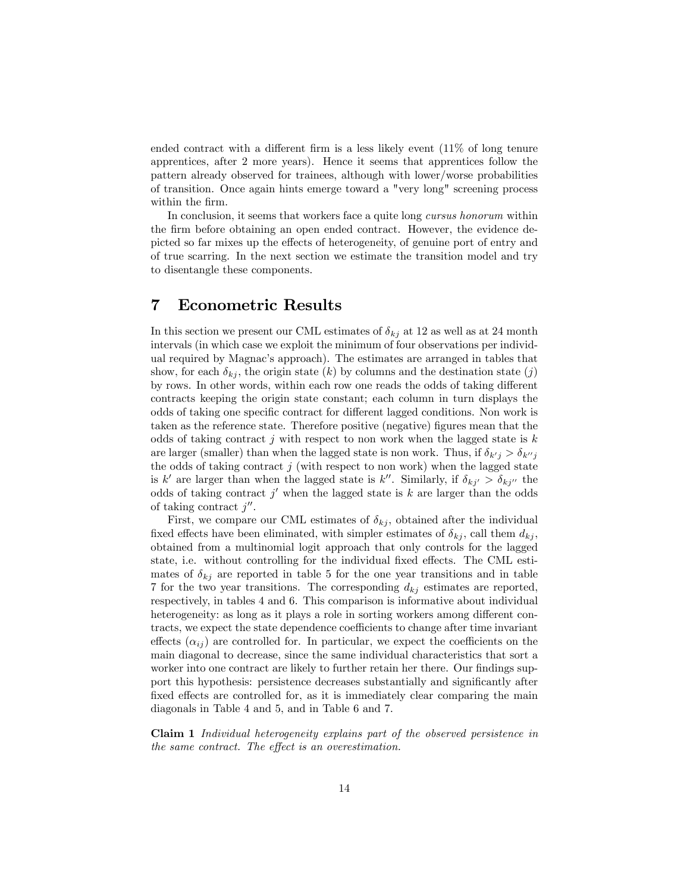ended contract with a different firm is a less likely event  $(11\% \text{ of long tenuer})$ apprentices, after 2 more years). Hence it seems that apprentices follow the pattern already observed for trainees, although with lower/worse probabilities of transition. Once again hints emerge toward a "very long" screening process within the firm.

In conclusion, it seems that workers face a quite long cursus honorum within the firm before obtaining an open ended contract. However, the evidence depicted so far mixes up the effects of heterogeneity, of genuine port of entry and of true scarring. In the next section we estimate the transition model and try to disentangle these components.

#### 7 Econometric Results

In this section we present our CML estimates of  $\delta_{kj}$  at 12 as well as at 24 month intervals (in which case we exploit the minimum of four observations per individual required by Magnac's approach). The estimates are arranged in tables that show, for each  $\delta_{kj}$ , the origin state  $(k)$  by columns and the destination state  $(j)$ by rows. In other words, within each row one reads the odds of taking different contracts keeping the origin state constant; each column in turn displays the odds of taking one specific contract for different lagged conditions. Non work is taken as the reference state. Therefore positive (negative) figures mean that the odds of taking contract  $j$  with respect to non work when the lagged state is  $k$ are larger (smaller) than when the lagged state is non work. Thus, if  $\delta_{k'j} > \delta_{k''j}$ the odds of taking contract  $j$  (with respect to non work) when the lagged state is k' are larger than when the lagged state is k''. Similarly, if  $\delta_{kj'} > \delta_{kj'}$  the odds of taking contract  $j'$  when the lagged state is k are larger than the odds of taking contract  $j''$ .

First, we compare our CML estimates of  $\delta_{kj}$ , obtained after the individual fixed effects have been eliminated, with simpler estimates of  $\delta_{ki}$ , call them  $d_{ki}$ , obtained from a multinomial logit approach that only controls for the lagged state, i.e. without controlling for the individual fixed effects. The CML estimates of  $\delta_{kj}$  are reported in table 5 for the one year transitions and in table 7 for the two year transitions. The corresponding  $d_{kj}$  estimates are reported, respectively, in tables 4 and 6. This comparison is informative about individual heterogeneity: as long as it plays a role in sorting workers among different contracts, we expect the state dependence coefficients to change after time invariant effects  $(\alpha_{ij})$  are controlled for. In particular, we expect the coefficients on the main diagonal to decrease, since the same individual characteristics that sort a worker into one contract are likely to further retain her there. Our findings support this hypothesis: persistence decreases substantially and significantly after fixed effects are controlled for, as it is immediately clear comparing the main diagonals in Table 4 and 5, and in Table 6 and 7.

Claim 1 Individual heterogeneity explains part of the observed persistence in the same contract. The effect is an overestimation.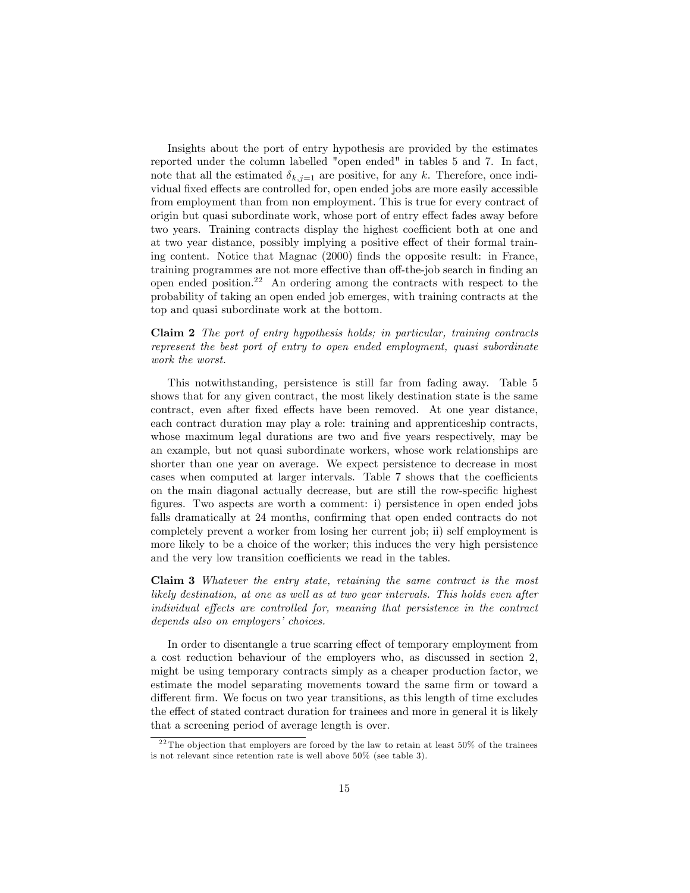Insights about the port of entry hypothesis are provided by the estimates reported under the column labelled "open ended" in tables 5 and 7. In fact, note that all the estimated  $\delta_{k,j=1}$  are positive, for any k. Therefore, once individual fixed effects are controlled for, open ended jobs are more easily accessible from employment than from non employment. This is true for every contract of origin but quasi subordinate work, whose port of entry effect fades away before two years. Training contracts display the highest coefficient both at one and at two year distance, possibly implying a positive effect of their formal training content. Notice that Magnac (2000) Önds the opposite result: in France, training programmes are not more effective than off-the-job search in finding an open ended position.<sup>22</sup> An ordering among the contracts with respect to the probability of taking an open ended job emerges, with training contracts at the top and quasi subordinate work at the bottom.

Claim 2 The port of entry hypothesis holds; in particular, training contracts represent the best port of entry to open ended employment, quasi subordinate work the worst.

This notwithstanding, persistence is still far from fading away. Table 5 shows that for any given contract, the most likely destination state is the same contract, even after fixed effects have been removed. At one year distance, each contract duration may play a role: training and apprenticeship contracts, whose maximum legal durations are two and five years respectively, may be an example, but not quasi subordinate workers, whose work relationships are shorter than one year on average. We expect persistence to decrease in most cases when computed at larger intervals. Table  $7$  shows that the coefficients on the main diagonal actually decrease, but are still the row-specific highest figures. Two aspects are worth a comment: i) persistence in open ended jobs falls dramatically at 24 months, confirming that open ended contracts do not completely prevent a worker from losing her current job; ii) self employment is more likely to be a choice of the worker; this induces the very high persistence and the very low transition coefficients we read in the tables.

Claim 3 Whatever the entry state, retaining the same contract is the most likely destination, at one as well as at two year intervals. This holds even after individual effects are controlled for, meaning that persistence in the contract depends also on employers' choices.

In order to disentangle a true scarring effect of temporary employment from a cost reduction behaviour of the employers who, as discussed in section 2, might be using temporary contracts simply as a cheaper production factor, we estimate the model separating movements toward the same firm or toward a different firm. We focus on two year transitions, as this length of time excludes the effect of stated contract duration for trainees and more in general it is likely that a screening period of average length is over.

<sup>&</sup>lt;sup>22</sup> The objection that employers are forced by the law to retain at least  $50\%$  of the trainees is not relevant since retention rate is well above 50% (see table 3).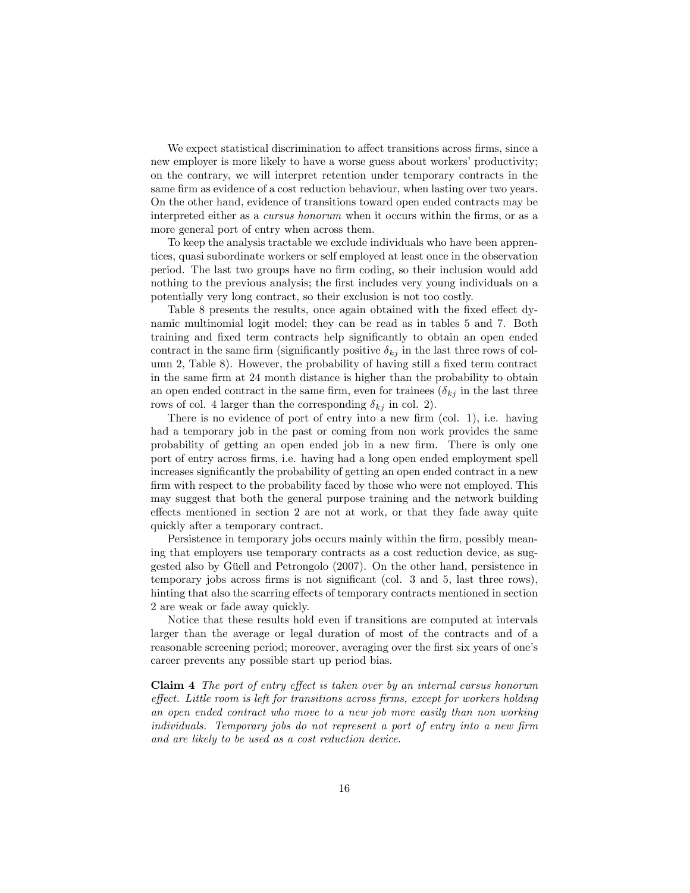We expect statistical discrimination to affect transitions across firms, since a new employer is more likely to have a worse guess about workers' productivity; on the contrary, we will interpret retention under temporary contracts in the same firm as evidence of a cost reduction behaviour, when lasting over two years. On the other hand, evidence of transitions toward open ended contracts may be interpreted either as a *cursus honorum* when it occurs within the firms, or as a more general port of entry when across them.

To keep the analysis tractable we exclude individuals who have been apprentices, quasi subordinate workers or self employed at least once in the observation period. The last two groups have no Örm coding, so their inclusion would add nothing to the previous analysis; the first includes very young individuals on a potentially very long contract, so their exclusion is not too costly.

Table 8 presents the results, once again obtained with the fixed effect dynamic multinomial logit model; they can be read as in tables 5 and 7. Both training and fixed term contracts help significantly to obtain an open ended contract in the same firm (significantly positive  $\delta_{kj}$  in the last three rows of column 2, Table 8). However, the probability of having still a fixed term contract in the same firm at 24 month distance is higher than the probability to obtain an open ended contract in the same firm, even for trainees  $(\delta_{kj}$  in the last three rows of col. 4 larger than the corresponding  $\delta_{kj}$  in col. 2).

There is no evidence of port of entry into a new firm (col. 1), i.e. having had a temporary job in the past or coming from non work provides the same probability of getting an open ended job in a new firm. There is only one port of entry across firms, i.e. having had a long open ended employment spell increases significantly the probability of getting an open ended contract in a new firm with respect to the probability faced by those who were not employed. This may suggest that both the general purpose training and the network building effects mentioned in section 2 are not at work, or that they fade away quite quickly after a temporary contract.

Persistence in temporary jobs occurs mainly within the firm, possibly meaning that employers use temporary contracts as a cost reduction device, as suggested also by Güell and Petrongolo (2007). On the other hand, persistence in temporary jobs across firms is not significant (col. 3 and 5, last three rows), hinting that also the scarring effects of temporary contracts mentioned in section 2 are weak or fade away quickly.

Notice that these results hold even if transitions are computed at intervals larger than the average or legal duration of most of the contracts and of a reasonable screening period; moreover, averaging over the first six years of one's career prevents any possible start up period bias.

Claim 4 The port of entry effect is taken over by an internal cursus honorum  $e$ ffect. Little room is left for transitions across firms, except for workers holding an open ended contract who move to a new job more easily than non working individuals. Temporary jobs do not represent a port of entry into a new firm and are likely to be used as a cost reduction device.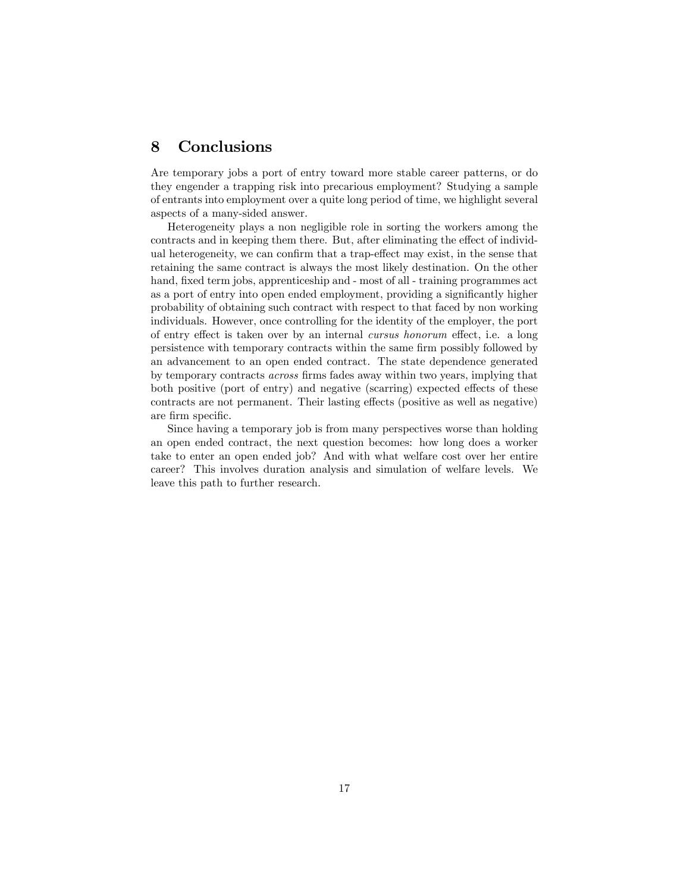### 8 Conclusions

Are temporary jobs a port of entry toward more stable career patterns, or do they engender a trapping risk into precarious employment? Studying a sample of entrants into employment over a quite long period of time, we highlight several aspects of a many-sided answer.

Heterogeneity plays a non negligible role in sorting the workers among the contracts and in keeping them there. But, after eliminating the effect of individual heterogeneity, we can confirm that a trap-effect may exist, in the sense that retaining the same contract is always the most likely destination. On the other hand, fixed term jobs, apprenticeship and - most of all - training programmes act as a port of entry into open ended employment, providing a significantly higher probability of obtaining such contract with respect to that faced by non working individuals. However, once controlling for the identity of the employer, the port of entry effect is taken over by an internal cursus honorum effect, i.e. a long persistence with temporary contracts within the same firm possibly followed by an advancement to an open ended contract. The state dependence generated by temporary contracts across Örms fades away within two years, implying that both positive (port of entry) and negative (scarring) expected effects of these contracts are not permanent. Their lasting effects (positive as well as negative) are firm specific.

Since having a temporary job is from many perspectives worse than holding an open ended contract, the next question becomes: how long does a worker take to enter an open ended job? And with what welfare cost over her entire career? This involves duration analysis and simulation of welfare levels. We leave this path to further research.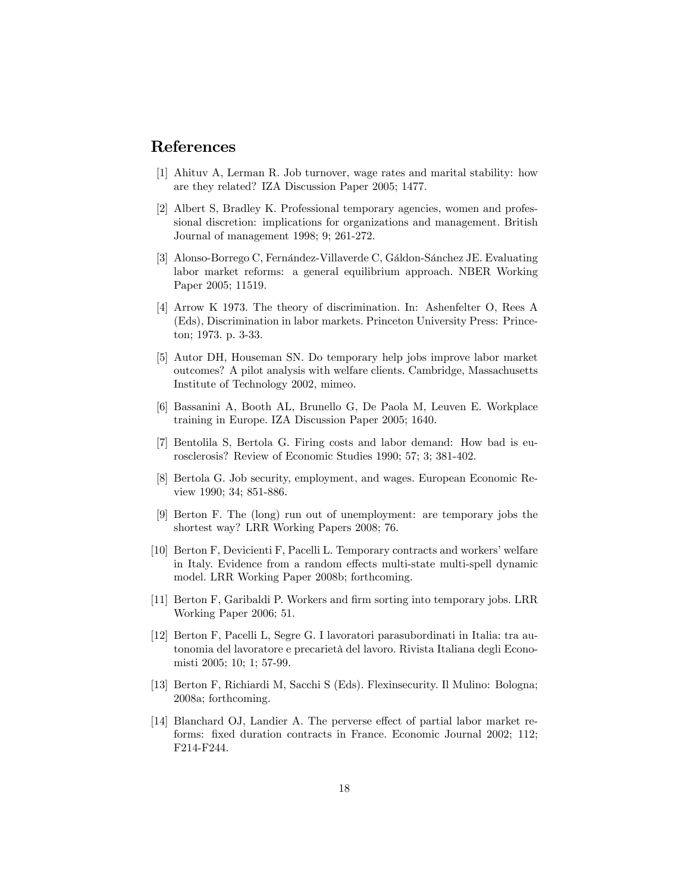### References

- [1] Ahituv A, Lerman R. Job turnover, wage rates and marital stability: how are they related? IZA Discussion Paper 2005; 1477.
- [2] Albert S, Bradley K. Professional temporary agencies, women and professional discretion: implications for organizations and management. British Journal of management 1998; 9; 261-272.
- [3] Alonso-Borrego C, Fernández-Villaverde C, Gáldon-Sánchez JE. Evaluating labor market reforms: a general equilibrium approach. NBER Working Paper 2005; 11519.
- [4] Arrow K 1973. The theory of discrimination. In: Ashenfelter O, Rees A (Eds), Discrimination in labor markets. Princeton University Press: Princeton; 1973. p. 3-33.
- [5] Autor DH, Houseman SN. Do temporary help jobs improve labor market outcomes? A pilot analysis with welfare clients. Cambridge, Massachusetts Institute of Technology 2002, mimeo.
- [6] Bassanini A, Booth AL, Brunello G, De Paola M, Leuven E. Workplace training in Europe. IZA Discussion Paper 2005; 1640.
- [7] Bentolila S, Bertola G. Firing costs and labor demand: How bad is eurosclerosis? Review of Economic Studies 1990; 57; 3; 381-402.
- [8] Bertola G. Job security, employment, and wages. European Economic Review 1990; 34; 851-886.
- [9] Berton F. The (long) run out of unemployment: are temporary jobs the shortest way? LRR Working Papers 2008; 76.
- [10] Berton F, Devicienti F, Pacelli L. Temporary contracts and workers' welfare in Italy. Evidence from a random effects multi-state multi-spell dynamic model. LRR Working Paper 2008b; forthcoming.
- [11] Berton F, Garibaldi P. Workers and firm sorting into temporary jobs. LRR Working Paper 2006; 51.
- [12] Berton F, Pacelli L, Segre G. I lavoratori parasubordinati in Italia: tra autonomia del lavoratore e precarietà del lavoro. Rivista Italiana degli Economisti 2005; 10; 1; 57-99.
- [13] Berton F, Richiardi M, Sacchi S (Eds). Flexinsecurity. Il Mulino: Bologna; 2008a; forthcoming.
- [14] Blanchard OJ, Landier A. The perverse effect of partial labor market reforms: fixed duration contracts in France. Economic Journal 2002; 112; F214-F244.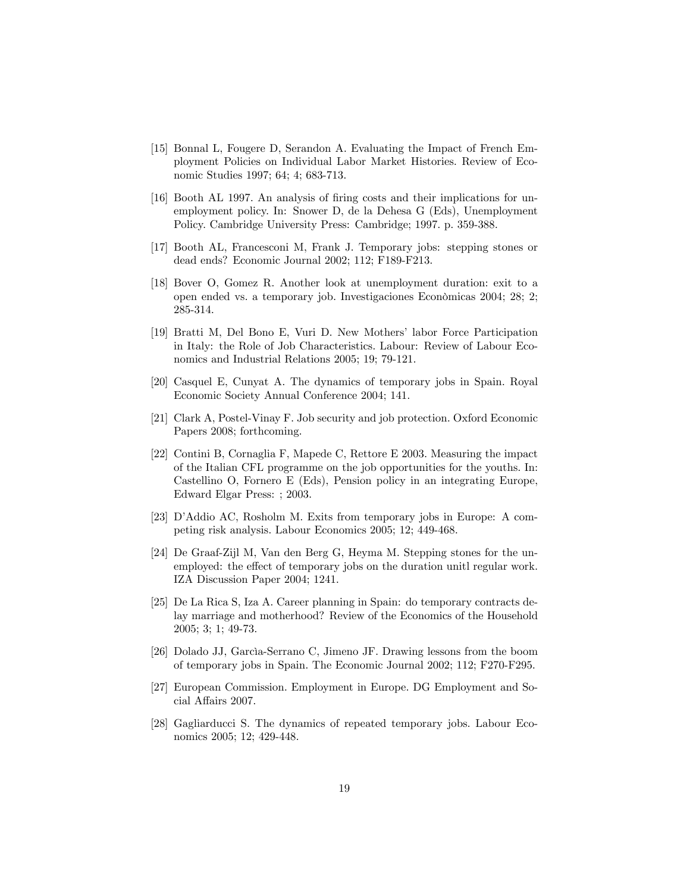- [15] Bonnal L, Fougere D, Serandon A. Evaluating the Impact of French Employment Policies on Individual Labor Market Histories. Review of Economic Studies 1997; 64; 4; 683-713.
- [16] Booth AL 1997. An analysis of firing costs and their implications for unemployment policy. In: Snower D, de la Dehesa G (Eds), Unemployment Policy. Cambridge University Press: Cambridge; 1997. p. 359-388.
- [17] Booth AL, Francesconi M, Frank J. Temporary jobs: stepping stones or dead ends? Economic Journal 2002; 112; F189-F213.
- [18] Bover O, Gomez R. Another look at unemployment duration: exit to a open ended vs. a temporary job. Investigaciones Econòmicas 2004; 28; 2; 285-314.
- [19] Bratti M, Del Bono E, Vuri D. New Mothersí labor Force Participation in Italy: the Role of Job Characteristics. Labour: Review of Labour Economics and Industrial Relations 2005; 19; 79-121.
- [20] Casquel E, Cunyat A. The dynamics of temporary jobs in Spain. Royal Economic Society Annual Conference 2004; 141.
- [21] Clark A, Postel-Vinay F. Job security and job protection. Oxford Economic Papers 2008; forthcoming.
- [22] Contini B, Cornaglia F, Mapede C, Rettore E 2003. Measuring the impact of the Italian CFL programme on the job opportunities for the youths. In: Castellino O, Fornero E (Eds), Pension policy in an integrating Europe, Edward Elgar Press: ; 2003.
- [23] DíAddio AC, Rosholm M. Exits from temporary jobs in Europe: A competing risk analysis. Labour Economics 2005; 12; 449-468.
- [24] De Graaf-Zijl M, Van den Berg G, Heyma M. Stepping stones for the unemployed: the effect of temporary jobs on the duration unitl regular work. IZA Discussion Paper 2004; 1241.
- [25] De La Rica S, Iza A. Career planning in Spain: do temporary contracts delay marriage and motherhood? Review of the Economics of the Household 2005; 3; 1; 49-73.
- [26] Dolado JJ, Garcia-Serrano C, Jimeno JF. Drawing lessons from the boom of temporary jobs in Spain. The Economic Journal 2002; 112; F270-F295.
- [27] European Commission. Employment in Europe. DG Employment and Social Affairs 2007.
- [28] Gagliarducci S. The dynamics of repeated temporary jobs. Labour Economics 2005; 12; 429-448.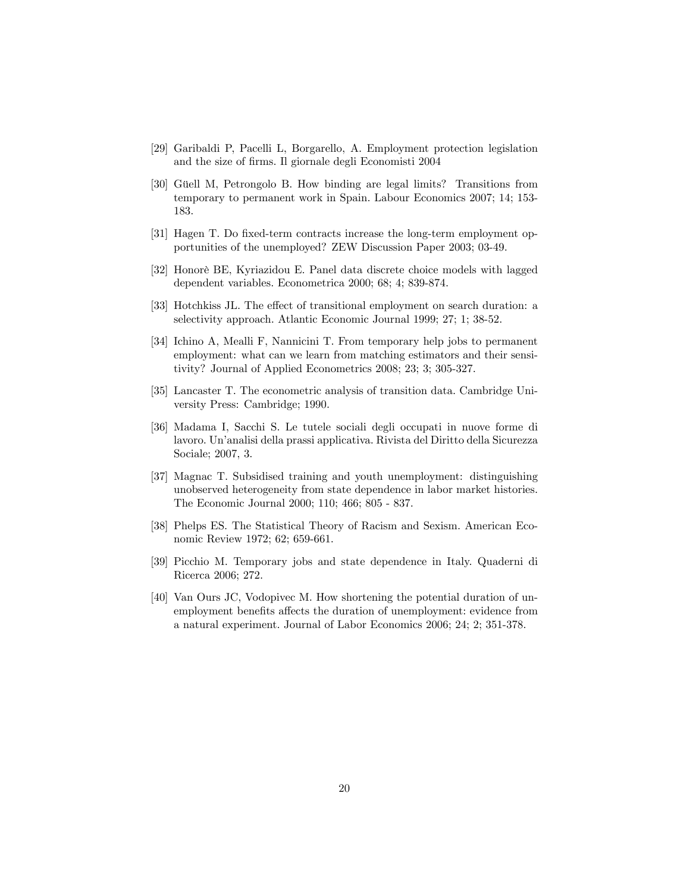- [29] Garibaldi P, Pacelli L, Borgarello, A. Employment protection legislation and the size of firms. Il giornale degli Economisti 2004
- [30] Güell M, Petrongolo B. How binding are legal limits? Transitions from temporary to permanent work in Spain. Labour Economics 2007; 14; 153- 183.
- [31] Hagen T. Do fixed-term contracts increase the long-term employment opportunities of the unemployed? ZEW Discussion Paper 2003; 03-49.
- [32] Honorè BE, Kyriazidou E. Panel data discrete choice models with lagged dependent variables. Econometrica 2000; 68; 4; 839-874.
- [33] Hotchkiss JL. The effect of transitional employment on search duration: a selectivity approach. Atlantic Economic Journal 1999; 27; 1; 38-52.
- [34] Ichino A, Mealli F, Nannicini T. From temporary help jobs to permanent employment: what can we learn from matching estimators and their sensitivity? Journal of Applied Econometrics 2008; 23; 3; 305-327.
- [35] Lancaster T. The econometric analysis of transition data. Cambridge University Press: Cambridge; 1990.
- [36] Madama I, Sacchi S. Le tutele sociali degli occupati in nuove forme di lavoro. Un'analisi della prassi applicativa. Rivista del Diritto della Sicurezza Sociale; 2007, 3.
- [37] Magnac T. Subsidised training and youth unemployment: distinguishing unobserved heterogeneity from state dependence in labor market histories. The Economic Journal 2000; 110; 466; 805 - 837.
- [38] Phelps ES. The Statistical Theory of Racism and Sexism. American Economic Review 1972; 62; 659-661.
- [39] Picchio M. Temporary jobs and state dependence in Italy. Quaderni di Ricerca 2006; 272.
- [40] Van Ours JC, Vodopivec M. How shortening the potential duration of unemployment benefits affects the duration of unemployment: evidence from a natural experiment. Journal of Labor Economics 2006; 24; 2; 351-378.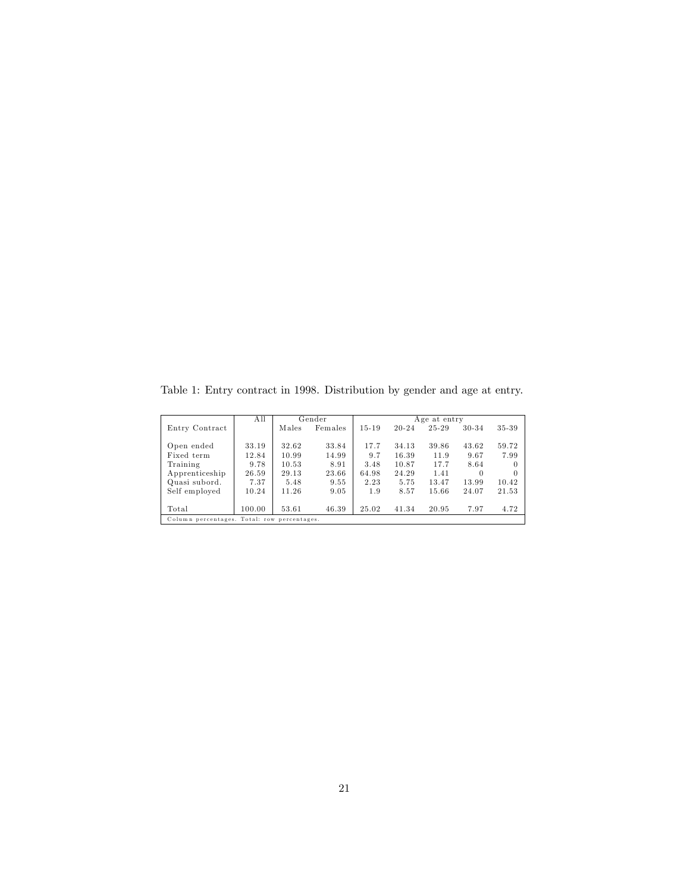|                | All                                         |       | Gender  |           | Age at entry |       |           |       |  |
|----------------|---------------------------------------------|-------|---------|-----------|--------------|-------|-----------|-------|--|
| Entry Contract |                                             | Males | Females | $15 - 19$ | $20 - 24$    | 25-29 | $30 - 34$ | 35-39 |  |
| Open ended     | 33.19                                       | 32.62 | 33.84   | 17.7      | 34.13        | 39.86 | 43.62     | 59.72 |  |
| Fixed term     | 12.84                                       | 10.99 | 14.99   | 9.7       | 16.39        | 11.9  | 9.67      | 7.99  |  |
| Training       | 9.78                                        | 10.53 | 8.91    | 3.48      | 10.87        | 17.7  | 8.64      | 0     |  |
| Apprenticeship | 26.59                                       | 29.13 | 23.66   | 64.98     | 24.29        | 1.41  | 0         | 0     |  |
| Quasi subord.  | 7.37                                        | 5.48  | 9.55    | 2.23      | 5.75         | 13.47 | 13.99     | 10.42 |  |
| Self employed  | 10.24                                       | 11.26 | 9.05    | 1.9       | 8.57         | 15.66 | 24.07     | 21.53 |  |
| Total          | 100.00                                      | 53.61 | 46.39   | 25.02     | 41.34        | 20.95 | 7.97      | 4.72  |  |
|                | Column percentages. Total: row percentages. |       |         |           |              |       |           |       |  |

Table 1: Entry contract in 1998. Distribution by gender and age at entry.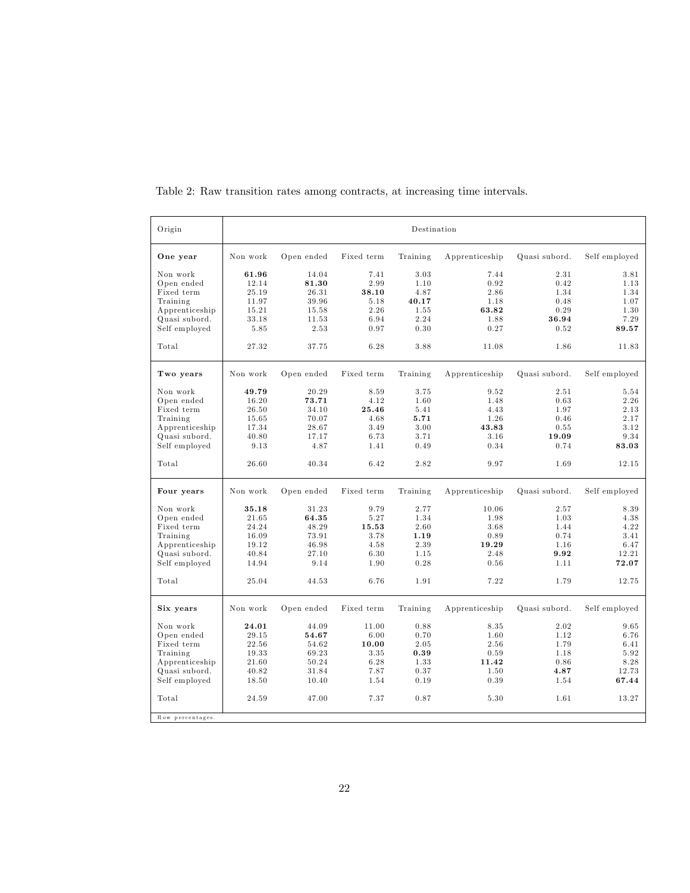| Origin           |          | Destination |            |          |                |               |               |  |  |
|------------------|----------|-------------|------------|----------|----------------|---------------|---------------|--|--|
| One year         | Non work | Open ended  | Fixed term | Training | Apprenticeship | Quasi subord. | Self employed |  |  |
| Non work         | 61.96    | 14.04       | 7.41       | 3.03     | 7.44           | 2.31          | 3.81          |  |  |
| Open ended       | 12.14    | 81.30       | 2.99       | 1.10     | 0.92           | 0.42          | 1.13          |  |  |
| Fixed term       | 25.19    | 26.31       | 38.10      | 4.87     | 2.86           | 1.34          | 1.34          |  |  |
| Training         | 11.97    | 39.96       | 5.18       | 40.17    | 1.18           | 0.48          | 1.07          |  |  |
| Apprenticeship   | 15.21    | 15.58       | 2.26       | 1.55     | 63.82          | 0.29          | 1.30          |  |  |
| Quasi subord.    | 33.18    | 11.53       | 6.94       | 2.24     | 1.88           | 36.94         | 7.29          |  |  |
| Self employed    | 5.85     | 2.53        | 0.97       | 0.30     | 0.27           | 0.52          | 89.57         |  |  |
| Total            | 27.32    | 37.75       | 6.28       | 3.88     | 11.08          | 1.86          | 11.83         |  |  |
| Two years        | Non work | Open ended  | Fixed term | Training | Apprenticeship | Quasi subord. | Self employed |  |  |
| Non work         | 49.79    | 20.29       | 8.59       | 3.75     | 9.52           | 2.51          | 5.54          |  |  |
| Open ended       | 16.20    | 73.71       | 4.12       | 1.60     | 1.48           | 0.63          | 2.26          |  |  |
| Fixed term       | 26.50    | 34.10       | 25.46      | 5.41     | 4.43           | 1.97          | 2.13          |  |  |
| Training         | 15.65    | 70.07       | 4.68       | 5.71     | 1.26           | 0.46          | 2.17          |  |  |
| Apprenticeship   | 17.34    | 28.67       | 3.49       | 3.00     | 43.83          | 0.55          | 3.12          |  |  |
| Quasi subord.    | 40.80    | 17.17       | 6.73       | 3.71     | 3.16           | 19.09         | 9.34          |  |  |
| Self employed    | 9.13     | 4.87        | 1.41       | 0.49     | 0.34           | 0.74          | 83.03         |  |  |
| Total            | 26.60    | 40.34       | 6.42       | 2.82     | 9.97           | 1.69          | 12.15         |  |  |
| Four years       | Non work | Open ended  | Fixed term | Training | Apprenticeship | Quasi subord. | Self employed |  |  |
| Non work         | 35.18    | 31.23       | 9.79       | 2.77     | 10.06          | 2.57          | 8.39          |  |  |
| Open ended       | 21.65    | 64.35       | 5.27       | 1.34     | 1.98           | 1.03          | 4.38          |  |  |
| Fixed term       | 24.24    | 48.29       | 15.53      | 2.60     | 3.68           | 1.44          | 4.22          |  |  |
| Training         | 16.09    | 73.91       | 3.78       | 1.19     | 0.89           | 0.74          | 3.41          |  |  |
| Apprenticeship   | 19.12    | 46.98       | 4.58       | 2.39     | 19.29          | 1.16          | 6.47          |  |  |
| Quasi subord.    | 40.84    | 27.10       | 6.30       | 1.15     | 2.48           | 9.92          | 12.21         |  |  |
| Self employed    | 14.94    | 9.14        | 1.90       | 0.28     | 0.56           | 1.11          | 72.07         |  |  |
| Total            | 25.04    | 44.53       | 6.76       | 1.91     | 7.22           | 1.79          | 12.75         |  |  |
| Six years        | Non work | Open ended  | Fixed term | Training | Apprenticeship | Quasi subord. | Self employed |  |  |
| Non work         | 24.01    | 44.09       | 11.00      | 0.88     | 8.35           | 2.02          | 9.65          |  |  |
| Open ended       | 29.15    | 54.67       | 6.00       | 0.70     | 1.60           | 1.12          | 6.76          |  |  |
| Fixed term       | 22.56    | 54.62       | 10.00      | 2.05     | 2.56           | 1.79          | 6.41          |  |  |
| Training         | 19.33    | 69.23       | 3.35       | 0.39     | 0.59           | 1.18          | 5.92          |  |  |
| Apprenticeship   | 21.60    | 50.24       | 6.28       | 1.33     | 11.42          | 0.86          | 8.28          |  |  |
| Quasi subord.    | 40.82    | 31.84       | 7.87       | 0.37     | 1.50           | 4.87          | 12.73         |  |  |
| Self employed    | 18.50    | 10.40       | 1.54       | 0.19     | 0.39           | 1.54          | 67.44         |  |  |
| Total            | 24.59    | 47.00       | 7.37       | 0.87     | 5.30           | 1.61          | 13.27         |  |  |
| Row percentages. |          |             |            |          |                |               |               |  |  |

Table 2: Raw transition rates among contracts, at increasing time intervals.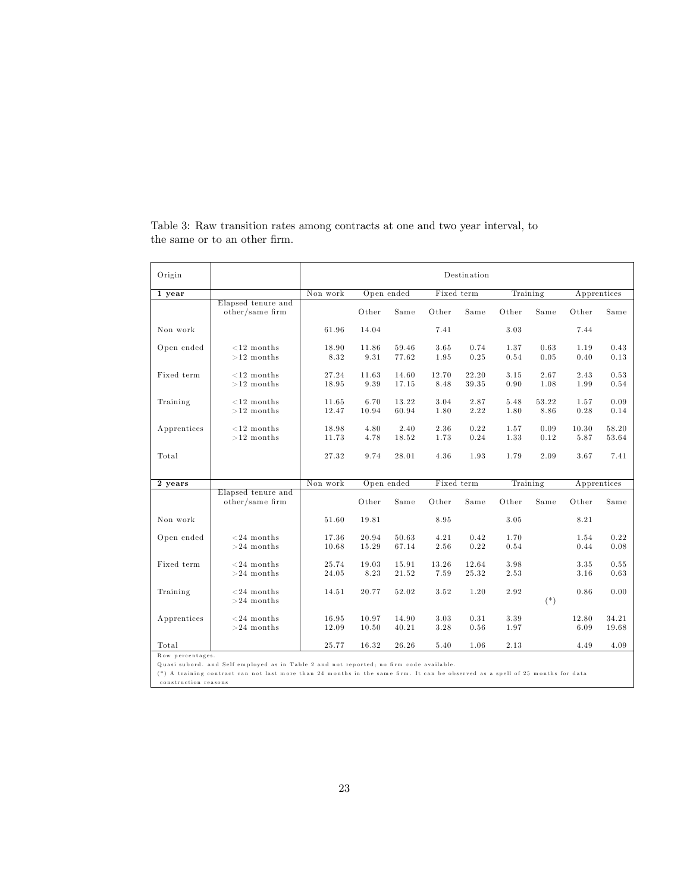| Origin           |                                       | Destination    |                |                |               |                |              |               |               |                |
|------------------|---------------------------------------|----------------|----------------|----------------|---------------|----------------|--------------|---------------|---------------|----------------|
| 1 year           |                                       | Non work       | Open ended     |                | Fixed term    |                | Training     |               | Apprentices   |                |
|                  | Elapsed tenure and<br>other/same firm |                | Other          | Same           | Other         | Same           | Other        | Same          | Other         | Same           |
| Non work         |                                       | 61.96          | 14.04          |                | 7.41          |                | 3.03         |               | 7.44          |                |
| Open ended       | $<$ 12 months<br>$>12$ months         | 18.90<br>8.32  | 11.86<br>9.31  | 59.46<br>77.62 | 3.65<br>1.95  | 0.74<br>0.25   | 1.37<br>0.54 | 0.63<br>0.05  | 1.19<br>0.40  | 0.43<br>0.13   |
| Fixed term       | $<$ 12 months<br>$>12$ months         | 27.24<br>18.95 | 11.63<br>9.39  | 14.60<br>17.15 | 12.70<br>8.48 | 22.20<br>39.35 | 3.15<br>0.90 | 2.67<br>1.08  | 2.43<br>1.99  | 0.53<br>0.54   |
| Training         | $<$ 12 months<br>$>12$ months         | 11.65<br>12.47 | 6.70<br>10.94  | 13.22<br>60.94 | 3.04<br>1.80  | 2.87<br>2.22   | 5.48<br>1.80 | 53.22<br>8.86 | 1.57<br>0.28  | 0.09<br>0.14   |
| Apprentices      | ${<}12$ months<br>$>12$ months        | 18.98<br>11.73 | 4.80<br>4.78   | 2.40<br>18.52  | 2.36<br>1.73  | 0.22<br>0.24   | 1.57<br>1.33 | 0.09<br>0.12  | 10.30<br>5.87 | 58.20<br>53.64 |
| Total            |                                       | 27.32          | 9.74           | 28.01          | 4.36          | 1.93           | 1.79         | 2.09          | 3.67          | 7.41           |
| 2 years          |                                       | Non work       | Open ended     |                | Fixed term    |                | Training     |               | Apprentices   |                |
|                  | Elapsed tenure and<br>other/same firm |                | Other          | Same           | Other         | Same           | Other        | Same          | Other         | Same           |
| Non work         |                                       | 51.60          | 19.81          |                | 8.95          |                | 3.05         |               | 8.21          |                |
| Open ended       | $<$ 24 months<br>$>\!24$ months       | 17.36<br>10.68 | 20.94<br>15.29 | 50.63<br>67.14 | 4.21<br>2.56  | 0.42<br>0.22   | 1.70<br>0.54 |               | 1.54<br>0.44  | 0.22<br>0.08   |
| Fixed term       | $<$ 24 months<br>$>24$ months         | 25.74<br>24.05 | 19.03<br>8.23  | 15.91<br>21.52 | 13.26<br>7.59 | 12.64<br>25.32 | 3.98<br>2.53 |               | 3.35<br>3.16  | 0.55<br>0.63   |
| Training         | $<$ 24 months<br>$>24$ months         | 14.51          | 20.77          | 52.02          | 3.52          | 1.20           | 2.92         | $(\hbox{}^*)$ | 0.86          | 0.00           |
| Apprentices      | $<$ 24 months<br>$>24$ months         | 16.95<br>12.09 | 10.97<br>10.50 | 14.90<br>40.21 | 3.03<br>3.28  | 0.31<br>0.56   | 3.39<br>1.97 |               | 12.80<br>6.09 | 34.21<br>19.68 |
| Total            |                                       | 25.77          | 16.32          | 26.26          | 5.40          | 1.06           | 2.13         |               | 4.49          | 4.09           |
| Row percentages. |                                       |                |                |                |               |                |              |               |               |                |

Table 3: Raw transition rates among contracts at one and two year interval, to the same or to an other firm.

Row percentages.<br>Quasi subord. and Self employed as in Table 2 and not reported; no firm code available.

(\*) A training contract can not last more than 24 months in the same firm. It can be observed as a spell of 25 months for data<br>construction reasons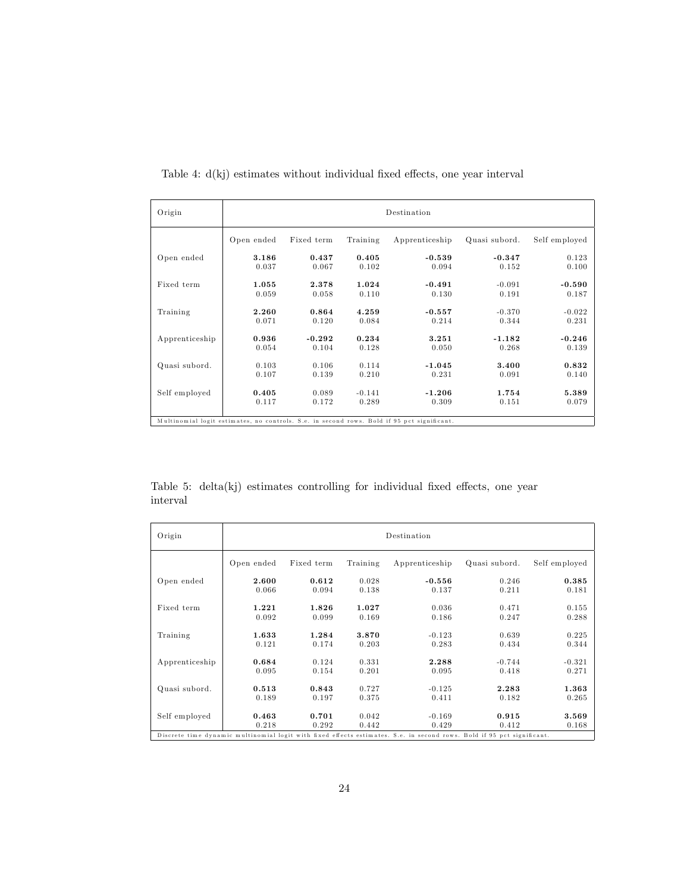| Origin         | Destination |                                                                                            |          |                |               |               |  |  |  |  |
|----------------|-------------|--------------------------------------------------------------------------------------------|----------|----------------|---------------|---------------|--|--|--|--|
|                | Open ended  | Fixed term                                                                                 | Training | Apprenticeship | Quasi subord. | Self employed |  |  |  |  |
| Open ended     | 3.186       | 0.437                                                                                      | 0.405    | $-0.539$       | $-0.347$      | 0.123         |  |  |  |  |
|                | 0.037       | 0.067                                                                                      | 0.102    | 0.094          | 0.152         | 0.100         |  |  |  |  |
| Fixed term     | 1.055       | 2.378                                                                                      | 1.024    | $-0.491$       | $-0.091$      | $-0.590$      |  |  |  |  |
|                | 0.059       | 0.058                                                                                      | 0.110    | 0.130          | 0.191         | 0.187         |  |  |  |  |
| Training       | 2.260       | 0.864                                                                                      | 4.259    | $-0.557$       | $-0.370$      | $-0.022$      |  |  |  |  |
|                | 0.071       | 0.120                                                                                      | 0.084    | 0.214          | 0.344         | 0.231         |  |  |  |  |
| Apprenticeship | 0.936       | $-0.292$                                                                                   | 0.234    | 3.251          | $-1.182$      | $-0.246$      |  |  |  |  |
|                | 0.054       | 0.104                                                                                      | 0.128    | 0.050          | 0.268         | 0.139         |  |  |  |  |
| Quasi subord.  | 0.103       | 0.106                                                                                      | 0.114    | $-1.045$       | 3.400         | 0.832         |  |  |  |  |
|                | 0.107       | 0.139                                                                                      | 0.210    | 0.231          | 0.091         | 0.140         |  |  |  |  |
| Self employed  | 0.405       | 0.089                                                                                      | $-0.141$ | $-1.206$       | 1.754         | 5.389         |  |  |  |  |
|                | 0.117       | 0.172                                                                                      | 0.289    | 0.309          | 0.151         | 0.079         |  |  |  |  |
|                |             |                                                                                            |          |                |               |               |  |  |  |  |
|                |             | Multinomial logit estimates, no controls. S.e. in second rows. Bold if 95 pct significant. |          |                |               |               |  |  |  |  |

Table 4:  $d(kj)$  estimates without individual fixed effects, one year interval

Table 5: delta(kj) estimates controlling for individual fixed effects, one year interval

| Origin         | Destination |            |          |                                                                                                                        |               |               |  |  |  |
|----------------|-------------|------------|----------|------------------------------------------------------------------------------------------------------------------------|---------------|---------------|--|--|--|
|                | Open ended  | Fixed term | Training | Apprenticeship                                                                                                         | Quasi subord. | Self employed |  |  |  |
| Open ended     | 2.600       | 0.612      | 0.028    | $-0.556$                                                                                                               | 0.246         | 0.385         |  |  |  |
|                | 0.066       | 0.094      | 0.138    | 0.137                                                                                                                  | 0.211         | 0.181         |  |  |  |
| Fixed term     | 1.221       | 1.826      | 1.027    | 0.036                                                                                                                  | 0.471         | 0.155         |  |  |  |
|                | 0.092       | 0.099      | 0.169    | 0.186                                                                                                                  | 0.247         | 0.288         |  |  |  |
| Training       | 1.633       | 1.284      | 3.870    | $-0.123$                                                                                                               | 0.639         | 0.225         |  |  |  |
|                | 0.121       | 0.174      | 0.203    | 0.283                                                                                                                  | 0.434         | 0.344         |  |  |  |
| Apprenticeship | 0.684       | 0.124      | 0.331    | 2.288                                                                                                                  | $-0.744$      | $-0.321$      |  |  |  |
|                | 0.095       | 0.154      | 0.201    | 0.095                                                                                                                  | 0.418         | 0.271         |  |  |  |
| Quasi subord.  | 0.513       | 0.843      | 0.727    | $-0.125$                                                                                                               | 2.283         | 1.363         |  |  |  |
|                | 0.189       | 0.197      | 0.375    | 0.411                                                                                                                  | 0.182         | 0.265         |  |  |  |
| Self employed  | 0.463       | 0.701      | 0.042    | $-0.169$                                                                                                               | 0.915         | 3.569         |  |  |  |
|                | 0.218       | 0.292      | 0.442    | 0.429                                                                                                                  | 0.412         | 0.168         |  |  |  |
|                |             |            |          | Discrete time dynamic multinomial logit with fixed effects estimates. S.e. in second rows. Bold if 95 pct significant. |               |               |  |  |  |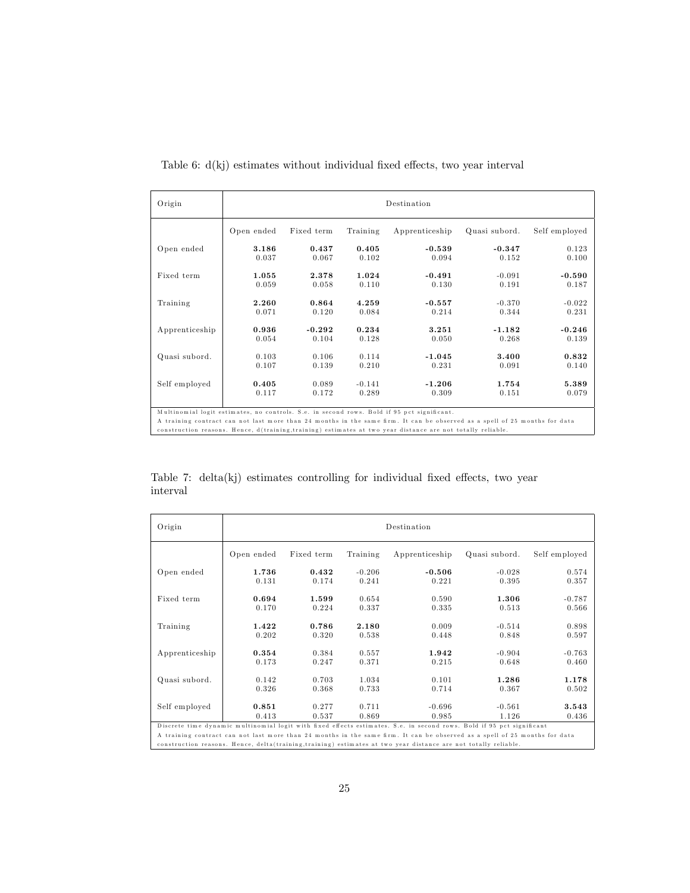| Origin                                                                                                                                                                                                                                                                                                                                 | Destination |            |          |                |               |               |  |  |
|----------------------------------------------------------------------------------------------------------------------------------------------------------------------------------------------------------------------------------------------------------------------------------------------------------------------------------------|-------------|------------|----------|----------------|---------------|---------------|--|--|
|                                                                                                                                                                                                                                                                                                                                        | Open ended  | Fixed term | Training | Apprenticeship | Quasi subord. | Self employed |  |  |
| Open ended                                                                                                                                                                                                                                                                                                                             | 3.186       | 0.437      | 0.405    | $-0.539$       | $-0.347$      | 0.123         |  |  |
|                                                                                                                                                                                                                                                                                                                                        | 0.037       | 0.067      | 0.102    | 0.094          | 0.152         | 0.100         |  |  |
| Fixed term                                                                                                                                                                                                                                                                                                                             | 1.055       | 2.378      | 1.024    | $-0.491$       | $-0.091$      | $-0.590$      |  |  |
|                                                                                                                                                                                                                                                                                                                                        | 0.059       | 0.058      | 0.110    | 0.130          | 0.191         | 0.187         |  |  |
| Training                                                                                                                                                                                                                                                                                                                               | 2.260       | 0.864      | 4.259    | $-0.557$       | $-0.370$      | $-0.022$      |  |  |
|                                                                                                                                                                                                                                                                                                                                        | 0.071       | 0.120      | 0.084    | 0.214          | 0.344         | 0.231         |  |  |
| Apprenticeship                                                                                                                                                                                                                                                                                                                         | 0.936       | $-0.292$   | 0.234    | 3.251          | $-1.182$      | $-0.246$      |  |  |
|                                                                                                                                                                                                                                                                                                                                        | 0.054       | 0.104      | 0.128    | 0.050          | 0.268         | 0.139         |  |  |
| Quasi subord.                                                                                                                                                                                                                                                                                                                          | 0.103       | 0.106      | 0.114    | $-1.045$       | 3.400         | 0.832         |  |  |
|                                                                                                                                                                                                                                                                                                                                        | 0.107       | 0.139      | 0.210    | 0.231          | 0.091         | 0.140         |  |  |
| Self employed                                                                                                                                                                                                                                                                                                                          | 0.405       | 0.089      | $-0.141$ | $-1.206$       | 1.754         | 5.389         |  |  |
|                                                                                                                                                                                                                                                                                                                                        | 0.117       | 0.172      | 0.289    | 0.309          | 0.151         | 0.079         |  |  |
| Multinomial logit estimates, no controls. S.e. in second rows. Bold if 95 pct significant.<br>A training contract can not last more than 24 months in the same firm. It can be observed as a spell of 25 months for data<br>construction reasons. Hence, d(training,training) estimates at two year distance are not totally reliable. |             |            |          |                |               |               |  |  |

Table 6:  $d(kj)$  estimates without individual fixed effects, two year interval

Table 7: delta $(kj)$  estimates controlling for individual fixed effects, two year interval

| Origin         | Destination                                                                                                           |                |                   |                   |                   |                   |  |  |  |  |
|----------------|-----------------------------------------------------------------------------------------------------------------------|----------------|-------------------|-------------------|-------------------|-------------------|--|--|--|--|
|                | Open ended                                                                                                            | Fixed term     | Training          | Apprenticeship    | Quasi subord.     | Self employed     |  |  |  |  |
| Open ended     | 1.736<br>0.131                                                                                                        | 0.432<br>0.174 | $-0.206$<br>0.241 | $-0.506$<br>0.221 | $-0.028$<br>0.395 | 0.574<br>0.357    |  |  |  |  |
| Fixed term     | 0.694<br>0.170                                                                                                        | 1.599<br>0.224 | 0.654<br>0.337    | 0.590<br>0.335    | 1.306<br>0.513    | $-0.787$<br>0.566 |  |  |  |  |
| Training       | 1.422                                                                                                                 | 0.786          | 2.180             | 0.009             | $-0.514$          | 0.898             |  |  |  |  |
|                | 0.202<br>0.354                                                                                                        | 0.320<br>0.384 | 0.538             | 0.448             | 0.848<br>$-0.904$ | 0.597             |  |  |  |  |
| Apprenticeship | 0.173                                                                                                                 | 0.247          | 0.557<br>0.371    | 1.942<br>0.215    | 0.648             | $-0.763$<br>0.460 |  |  |  |  |
| Quasi subord.  | 0.142<br>0.326                                                                                                        | 0.703<br>0.368 | 1.034<br>0.733    | 0.101<br>0.714    | 1.286<br>0.367    | 1.178<br>0.502    |  |  |  |  |
| Self employed  | 0.851<br>0.413                                                                                                        | 0.277<br>0.537 | 0.711<br>0.869    | $-0.696$<br>0.985 | $-0.561$<br>1.126 | 3.543<br>0.436    |  |  |  |  |
|                | Discrete time dynamic multinomial logit with fixed effects estimates. S.e. in second rows. Bold if 95 pct significant |                |                   |                   |                   |                   |  |  |  |  |

A training contract can not last more than 24 months in the same firm. It can be observed as a spell of 25 months for data construction reasons. Hence, delta (training, training) estimates at two year distance are not totally reliable.